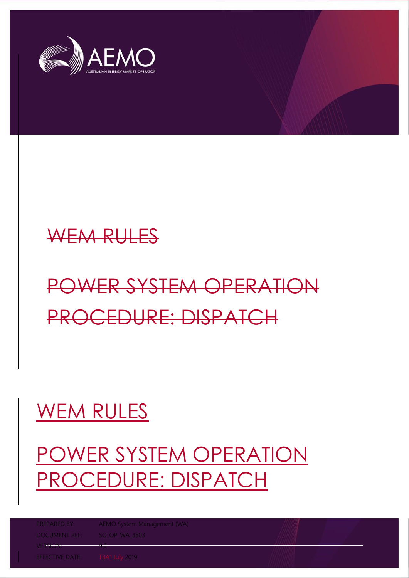



# POWER SYSTEM OPERATION PROCEDURE: DISPATCH

## WEM RULES

## POWER SYSTEM OPERATION PROCEDURE: DISPATCH

PREPARED BY: AEMO System Management (WA)

VER<del>SION: 9.0</del>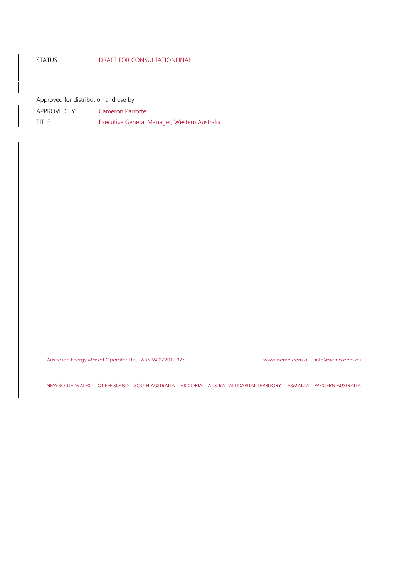#### STATUS: DRAFT FOR CONSULTATIONFINAL

Approved for distribution and use by:

APPROVED BY: Cameron Parrotte

TITLE: Executive General Manager, Western Australia

Australian Energy Market Operator Ltd ABN 94 072 010 327 www.aemo.com.au info@aemo.com.au

NEW SOUTH WALES QUEENSLAND SOUTH AUSTRALIA VICTORIA AUSTRALIAN CAPITAL TERRITORY TASMANIA WESTERN AUSTRALIA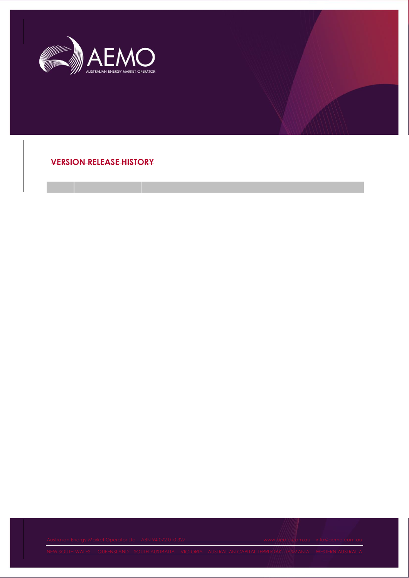

**VERSION RELEASE HISTORY**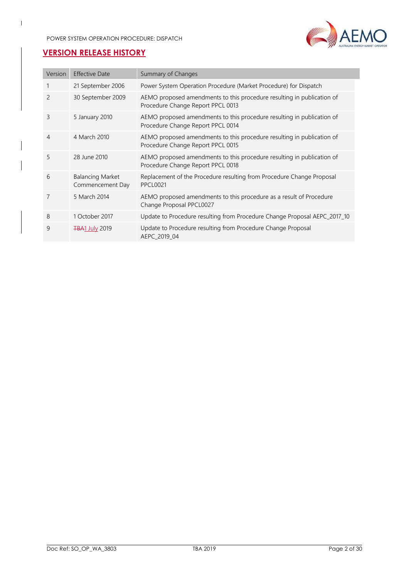

## **VERSION RELEASE HISTORY**

 $\overline{\phantom{a}}$ 

| Version       | <b>Effective Date</b>                       | Summary of Changes                                                                                          |
|---------------|---------------------------------------------|-------------------------------------------------------------------------------------------------------------|
| 1             | 21 September 2006                           | Power System Operation Procedure (Market Procedure) for Dispatch                                            |
| $\mathcal{P}$ | 30 September 2009                           | AEMO proposed amendments to this procedure resulting in publication of<br>Procedure Change Report PPCL 0013 |
| 3             | 5 January 2010                              | AEMO proposed amendments to this procedure resulting in publication of<br>Procedure Change Report PPCL 0014 |
| 4             | 4 March 2010                                | AEMO proposed amendments to this procedure resulting in publication of<br>Procedure Change Report PPCL 0015 |
| 5             | 28 June 2010                                | AEMO proposed amendments to this procedure resulting in publication of<br>Procedure Change Report PPCL 0018 |
| 6             | <b>Balancing Market</b><br>Commencement Day | Replacement of the Procedure resulting from Procedure Change Proposal<br><b>PPCL0021</b>                    |
| 7             | 5 March 2014                                | AEMO proposed amendments to this procedure as a result of Procedure<br>Change Proposal PPCL0027             |
| 8             | 1 October 2017                              | Update to Procedure resulting from Procedure Change Proposal AEPC_2017_10                                   |
| 9             | <b>TBA1 July 2019</b>                       | Update to Procedure resulting from Procedure Change Proposal<br>AEPC 2019 04                                |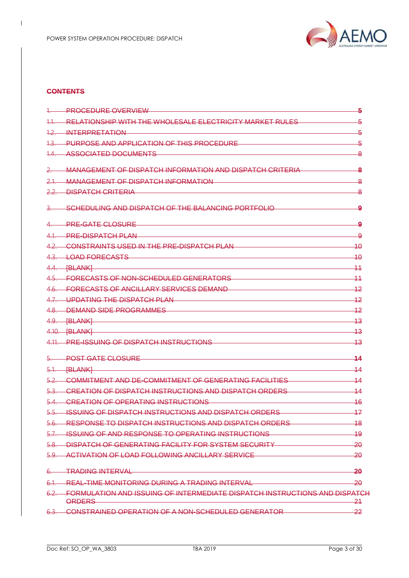

#### **CONTENTS**

 $\overline{\phantom{a}}$ 

|         | 1. PROCEDURE OVERVIEW                                                                                                 | -5             |
|---------|-----------------------------------------------------------------------------------------------------------------------|----------------|
|         | 11. RELATIONSHIP WITH THE WHOLESALE ELECTRICITY MARKET RULES                                                          |                |
|         | <u>12. INTERPRETATION COMMUNISTION</u>                                                                                | 5              |
|         | 1.3. PURPOSE AND APPLICATION OF THIS PROCEDURE <b>And the CONTROL CONTROL</b> 5                                       |                |
|         | 1.4. ASSOCIATED DOCUMENTS AND A RESOLUTION OF A RESOLUTION OF A RESOLUTION OF A RESOLUTION OF A RESOLUTION OF A       |                |
|         | MANAGEMENT OF DISPATCH INFORMATION AND DISPATCH CRITERIA                                                              | -8             |
| $2.1 -$ | MANAGEMENT OF DISPATCH INFORMATION                                                                                    | 8              |
|         | 2.2. DISPATCH CRITERIA                                                                                                | -8             |
|         | 3. SCHEDULING AND DISPATCH OF THE BALANCING PORTFOLIO                                                                 | -9             |
|         | 4. PRE-GATE CLOSURE                                                                                                   | 9              |
|         | 4.1. PRE-DISPATCH PLAN                                                                                                | -9             |
|         | 4.2. CONSTRAINTS USED IN THE PRE-DISPATCH PLAN And the contract of the state of the state of the state of the         |                |
|         | 4.3. LOAD FORECASTS                                                                                                   | 40             |
|         | 4.4. [BLANK] <b>EXECUTE AND A REPORT OF A REPORT OF A REPORT OF A REPORT OF A REPORT OF A REPORT OF A REPORT OF A</b> | $-11$          |
|         | 4.5. FORECASTS OF NON-SCHEDULED GENERATORS 4.5. FORECASTS OF NON-SCHEDULED GENERATORS                                 |                |
|         | 4.6. FORECASTS OF ANCILLARY SERVICES DEMAND                                                                           |                |
|         | 4.7. UPDATING THE DISPATCH PLAN 12                                                                                    |                |
|         | 4.8. DEMAND SIDE PROGRAMMES 42                                                                                        |                |
|         |                                                                                                                       | -13            |
|         | 4.10. [BLANK]                                                                                                         | –13            |
|         | 4.11. PRE-ISSUING OF DISPATCH INSTRUCTIONS                                                                            | -13            |
|         | POST GATE CLOSURE <b>And CONTROL</b>                                                                                  | 14             |
|         |                                                                                                                       | 44             |
|         | 5.2. COMMITMENT AND DE-COMMITMENT OF GENERATING FACILITIES 44                                                         |                |
|         | 5.3. CREATION OF DISPATCH INSTRUCTIONS AND DISPATCH ORDERS                                                            | $-14$          |
|         | 5.4. CREATION OF OPERATING INSTRUCTIONS <b>CONTRACT CONTRACT CONTRACT CONTRACT</b> 16                                 |                |
|         | 5.5. ISSUING OF DISPATCH INSTRUCTIONS AND DISPATCH ORDERS                                                             | 47             |
|         | 5.6. RESPONSE TO DISPATCH INSTRUCTIONS AND DISPATCH ORDERS TO THE THING 18                                            |                |
|         | 5.7. ISSUING OF AND RESPONSE TO OPERATING INSTRUCTIONS <b>STARF AND THE SECTION</b> 19                                |                |
|         | 5.8. DISPATCH OF GENERATING FACILITY FOR SYSTEM SECURITY CONTRACT 20                                                  |                |
|         | 5.9. ACTIVATION OF LOAD FOLLOWING ANCILLARY SERVICE 20 20                                                             |                |
|         | 6. TRADING INTERVAL 20                                                                                                |                |
|         | 6.1 REAL-TIME MONITORING DURING A TRADING INTERVAL CONTINUES AND 20                                                   |                |
|         | 6.2. FORMULATION AND ISSUING OF INTERMEDIATE DISPATCH INSTRUCTIONS AND DISPATCH<br>ORDERS                             | $\frac{21}{2}$ |
|         | 6.3. CONSTRAINED OPERATION OF A NON-SCHEDULED GENERATOR                                                               | 22             |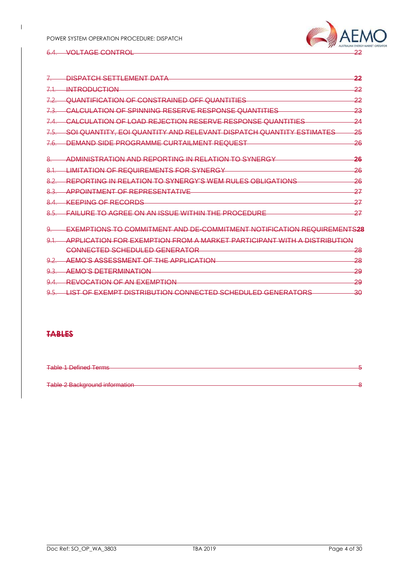

#### 6.4. VOLTAGE CONTROL

 $\overline{\phantom{a}}$ 

| <u>DISPATCH SETTLEMENT DATA</u>                                                | 22            |
|--------------------------------------------------------------------------------|---------------|
| <b>INTRODUCTION</b>                                                            | 22            |
| QUANTIFICATION OF CONSTRAINED OFF QUANTITIES                                   | 22            |
| <u>CALCULATION OF SPINNING RESERVE RESPONSE QUANTITIES</u>                     | 23            |
| <u>CALCULATION OF LOAD REJECTION RESERVE RESPONSE QUANTITIES</u>               | 24            |
| SOI QUANTITY, EOI QUANTITY AND RELEVANT DISPATCH QUANTITY ESTIMATES            | 25            |
| DEMAND SIDE PROGRAMME CURTAILMENT REQUEST                                      | -26           |
| ADMINISTRATION AND REPORTING IN RELATION TO SYNERGY                            | -26           |
| <del>LIMITATION OF REQUIREMENTS FOR SYNERGY</del>                              | -26           |
| REPORTING IN RELATION TO SYNERGY'S WEM RULES OBLIGATIONS                       | -26           |
| <b>APPOINTMENT OF REPRESENTATIVE</b>                                           | 27            |
| KEEPING OF RECORDS                                                             | 27            |
| <u>FAILURE TO AGREE ON AN ISSUE WITHIN THE PROCEDURE</u>                       | 27            |
| <u>EXEMPTIONS TO COMMITMENT AND DE-COMMITMENT NOTIFICATION REQUIREMENTS28</u>  |               |
| <u>APPLICATION FOR EXEMPTION FROM A MARKET PARTICIPANT WITH A DISTRIBUTION</u> |               |
| CONNECTED SCHEDULED GENERATOR                                                  | <del>28</del> |
| <u>AEMO'S ASSESSMENT OF THE APPLICATION</u>                                    | -28           |
| AEMO'S DETERMINATION                                                           | <del>29</del> |

9.4. REVOCATION OF AN EXEMPTION<br>
0.5. LIST OF EXEMPT DISTRIBUTION CONNECTED SCHEDULED GENERATORS 9.5. LIST OF EXEMPT DISTRIBUTION CONNECTED SCHEDULED GENERATORS

#### **TABLES**

| <b>Table 1 Defined Terms</b>   |  |
|--------------------------------|--|
| Table 2 Background information |  |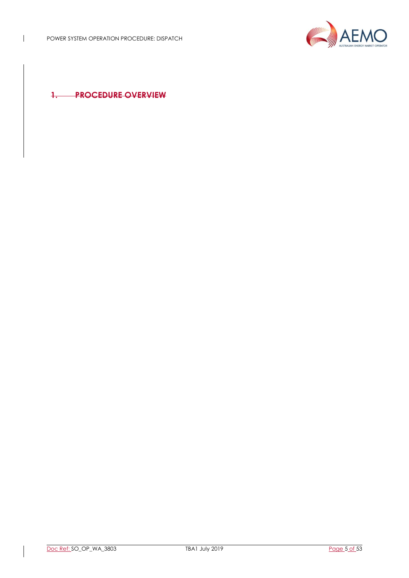

**1. PROCEDURE OVERVIEW**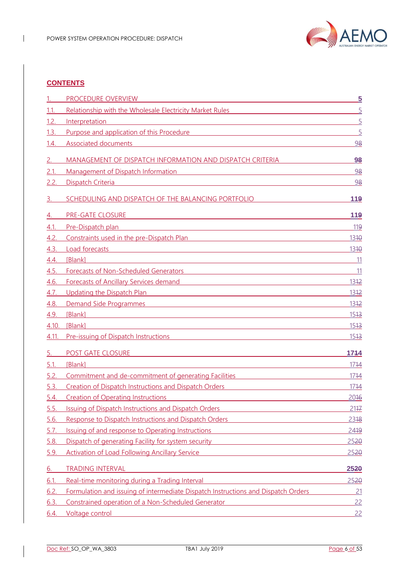

#### **CONTENTS**

 $\overline{\phantom{a}}$ 

|             | PROCEDURE OVERVIEW                                                                                                                                                                                                                   | $\overline{5}$  |
|-------------|--------------------------------------------------------------------------------------------------------------------------------------------------------------------------------------------------------------------------------------|-----------------|
| 1.1.        | Relationship with the Wholesale Electricity Market Rules                                                                                                                                                                             | $\overline{5}$  |
| 1.2.        | Interpretation<br><u> 1989 - Johann Stoff, Amerikaansk politiker († 1908)</u>                                                                                                                                                        | $\overline{5}$  |
| 1.3.        | Purpose and application of this Procedure <b>Container and American</b> Container and American Container                                                                                                                             | $\overline{5}$  |
| 1.4.        | <b>Associated documents</b><br><u> 1989 - Johann Stein, marwolaethau a bhann an t-Amhainn an t-Amhainn an t-Amhainn an t-Amhainn an t-Amhainn a</u>                                                                                  | 98              |
| 2.          | MANAGEMENT OF DISPATCH INFORMATION AND DISPATCH CRITERIA                                                                                                                                                                             | 98              |
| 2.1.        | Management of Dispatch Information<br><u> 1980 - Johann Barn, mars ann an t-Amhainn an t-Amhainn an t-Amhainn an t-Amhainn an t-Amhainn an t-Amhainn a</u>                                                                           | 98              |
| 2.2.        | Dispatch Criteria                                                                                                                                                                                                                    | 98              |
| 3.          | SCHEDULING AND DISPATCH OF THE BALANCING PORTFOLIO                                                                                                                                                                                   | 119             |
| 4.          | PRE-GATE CLOSURE                                                                                                                                                                                                                     | 119             |
| 4.1.        | Pre-Dispatch plan<br><u> 1989 - Johann Stoff, amerikansk politiker (* 1908)</u>                                                                                                                                                      | 119             |
| 4.2.        | <b>Constraints used in the pre-Dispatch Plan</b>                                                                                                                                                                                     | 1310            |
| 4.3.        | Load forecasts<br><u> 1989 - Johann Barn, mars ann an t-Amhain Aonaichte ann an t-Aonaichte ann an t-Aonaichte ann an t-Aonaichte a</u>                                                                                              | 1310            |
| 4.4.        | [Blank]<br>and the control of the control of the control of the control of the control of the control of the control of the                                                                                                          | 11              |
| 4.5         | Forecasts of Non-Scheduled Generators <b>Example 2014</b> Forecasts of Non-Scheduled Generators                                                                                                                                      | $\overline{11}$ |
| 4.6.        | Forecasts of Ancillary Services demand<br><u> 1989 - Johann Barn, mars ann an t-Amhain Aonaich an t-Aonaich an t-Aonaich an t-Aonaich an t-Aonaich an t-Aon</u>                                                                      | 1312            |
| 4.7.        | Updating the Dispatch Plan <b>Contract Contract Contract Contract Contract Contract Contract Contract Contract Contract Contract Contract Contract Contract Contract Contract Contract Contract Contract Contract Contract Contr</b> | 1312            |
| 4.8.        | Demand Side Programmes and the control of the control of the control of the control of the control of the control of the control of the control of the control of the control of the control of the control of the control of        | 1312            |
| 4.9.        | [Blank]<br><u> 1989 - Johann Barn, mars eta bainar eta baina eta baina eta baina eta baina eta baina eta baina eta baina e</u>                                                                                                       | 1543            |
| 4.10.       | [Blank]<br>and the control of the control of the control of the control of the control of the control of the control of the                                                                                                          | 1513            |
| 4.11.       | Pre-issuing of Dispatch Instructions                                                                                                                                                                                                 | <u> 1513 </u>   |
| 5.          | POST GATE CLOSURE                                                                                                                                                                                                                    | 1744            |
| 5.1.        | [Blank]                                                                                                                                                                                                                              | 1714            |
| 5.2.        | Commitment and de-commitment of generating Facilities                                                                                                                                                                                | 1714            |
| 5.3.        | Creation of Dispatch Instructions and Dispatch Orders                                                                                                                                                                                | 1714            |
| 5.4.        | <b>Creation of Operating Instructions</b>                                                                                                                                                                                            | 2016            |
| <u>5.5.</u> | <b>Issuing of Dispatch Instructions and Dispatch Orders</b>                                                                                                                                                                          | 2147            |
| 5.6.        | Response to Dispatch Instructions and Dispatch Orders                                                                                                                                                                                | 2318            |
| 5.7.        | Issuing of and response to Operating Instructions                                                                                                                                                                                    | 2419            |
| 5.8.        | Dispatch of generating Facility for system security                                                                                                                                                                                  | 2520            |
| 5.9.        | <b>Activation of Load Following Ancillary Service</b>                                                                                                                                                                                | 2520            |
| <u>6.</u>   | <b>TRADING INTERVAL</b>                                                                                                                                                                                                              | 2520            |
| 6.1.        | Real-time monitoring during a Trading Interval                                                                                                                                                                                       | 2520            |
| 6.2.        | Formulation and issuing of intermediate Dispatch Instructions and Dispatch Orders                                                                                                                                                    | 21              |
| 6.3.        | Constrained operation of a Non-Scheduled Generator                                                                                                                                                                                   | 22              |
| 6.4.        | Voltage control                                                                                                                                                                                                                      | 22              |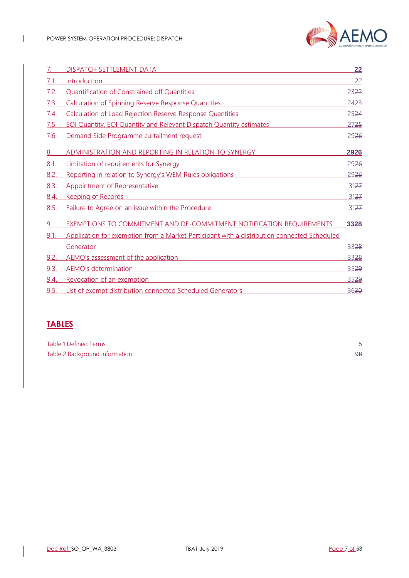

|      | DISPATCH SETTLEMENT DATA                                                                    | 22   |
|------|---------------------------------------------------------------------------------------------|------|
| 7.1. | Introduction                                                                                | 22   |
| 7.2. | <b>Quantification of Constrained off Quantities</b>                                         | 2322 |
| 7.3. | <b>Calculation of Spinning Reserve Response Quantities</b>                                  | 2423 |
| 7.4. | Calculation of Load Rejection Reserve Response Quantities                                   | 2524 |
| 7.5. | SOI Quantity, EOI Quantity and Relevant Dispatch Quantity estimates                         | 2725 |
| 7.6. | Demand Side Programme curtailment request                                                   | 2926 |
| 8.   | ADMINISTRATION AND REPORTING IN RELATION TO SYNERGY                                         | 2926 |
| 8.1. | Limitation of requirements for Synergy                                                      | 2926 |
| 8.2. | Reporting in relation to Synergy's WEM Rules obligations                                    | 2926 |
| 8.3. | <b>Appointment of Representative</b>                                                        | 3127 |
| 8.4. | <b>Keeping of Records</b>                                                                   | 3127 |
| 8.5. | Failure to Agree on an issue within the Procedure                                           | 3127 |
|      | <b>EXEMPTIONS TO COMMITMENT AND DE-COMMITMENT NOTIFICATION REQUIREMENTS</b>                 | 3328 |
| 9.1. | Application for exemption from a Market Participant with a distribution connected Scheduled |      |
|      | Generator                                                                                   | 3328 |
| 9.2. | AEMO's assessment of the application                                                        | 3328 |
| 9.3. | <b>AEMO's determination</b>                                                                 | 3529 |
| 9.4. | Revocation of an exemption                                                                  | 3529 |
| 9.5. | List of exempt distribution connected Scheduled Generators                                  | 3630 |
|      |                                                                                             |      |

## **TABLES**

| Table 1 Defined Terms          |    |
|--------------------------------|----|
| Table 2 Background information | అం |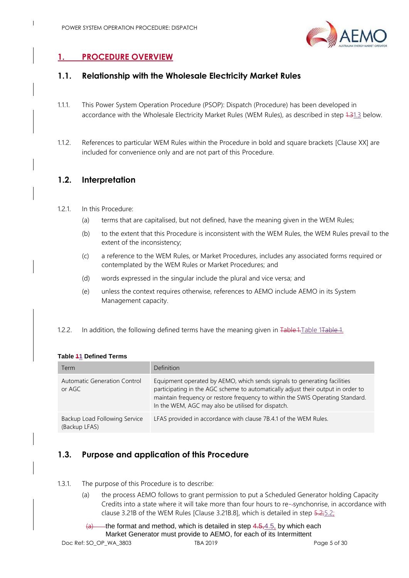

## <span id="page-9-0"></span>**1. PROCEDURE OVERVIEW**

#### <span id="page-9-1"></span>**1.1. Relationship with the Wholesale Electricity Market Rules**

- 1.1.1. This Power System Operation Procedure (PSOP): Dispatch (Procedure) has been developed in accordance with the Wholesale Electricity Market Rules (WEM Rules), as described in step 4.[31.3](#page-9-5) below.
- 1.1.2. References to particular WEM Rules within the Procedure in bold and square brackets [Clause XX] are included for convenience only and are not part of this Procedure.

#### <span id="page-9-2"></span>**1.2. Interpretation**

- 1.2.1. In this Procedure:
	- (a) terms that are capitalised, but not defined, have the meaning given in the WEM Rules;
	- (b) to the extent that this Procedure is inconsistent with the WEM Rules, the WEM Rules prevail to the extent of the inconsistency;
	- (c) a reference to the WEM Rules, or Market Procedures, includes any associated forms required or contemplated by the WEM Rules or Market Procedures; and
	- (d) words expressed in the singular include the plural and vice versa; and
	- (e) unless the context requires otherwise, references to AEMO include AEMO in its System Management capacity.
- 1.2.2. In addition, the following defined terms have the meaning given in Table 1. Table 1. Table 1.

| Term                                           | <b>Definition</b>                                                                                                                                                                                                                                                                                    |
|------------------------------------------------|------------------------------------------------------------------------------------------------------------------------------------------------------------------------------------------------------------------------------------------------------------------------------------------------------|
| Automatic Generation Control<br>or AGC         | Equipment operated by AEMO, which sends signals to generating facilities<br>participating in the AGC scheme to automatically adjust their output in order to<br>maintain frequency or restore frequency to within the SWIS Operating Standard.<br>In the WEM, AGC may also be utilised for dispatch. |
| Backup Load Following Service<br>(Backup LFAS) | LFAS provided in accordance with clause 7B.4.1 of the WEM Rules.                                                                                                                                                                                                                                     |

#### <span id="page-9-6"></span><span id="page-9-4"></span>**Table 11 Defined Terms**

### <span id="page-9-5"></span><span id="page-9-3"></span>**1.3. Purpose and application of this Procedure**

- <span id="page-9-7"></span>1.3.1. The purpose of this Procedure is to describe:
	- (a) the process AEMO follows to grant permission to put a Scheduled Generator holding Capacity Credits into a state where it will take more than four hours to re- synchonrise, in accordance with clause 3.21B of the WEM Rules [Clause 3.21B.8], which is detailed in step 5.[2;5.2;](#page-25-4)
	- $\overline{a}$  the format and method, which is detailed in step 4.5[,4.5,](#page-19-2) by which each Market Generator must provide to AEMO, for each of its Intermittent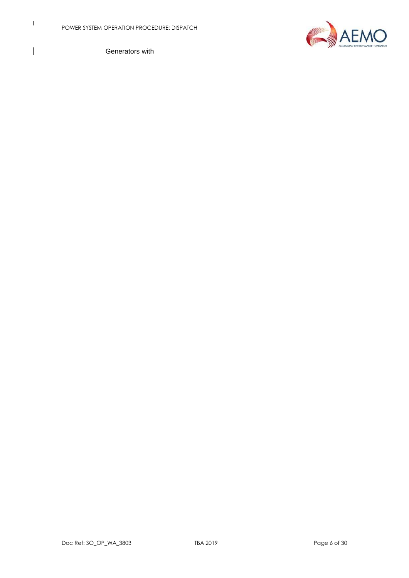$\mathbf I$ 

 $\overline{\phantom{a}}$ 



Generators with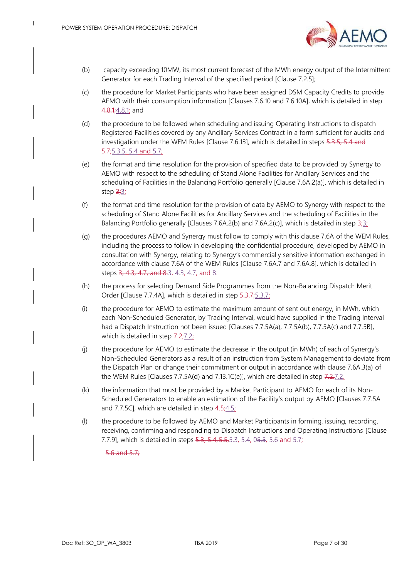

- (b) capacity exceeding 10MW, its most current forecast of the MWh energy output of the Intermittent Generator for each Trading Interval of the specified period [Clause 7.2.5];
- (c) the procedure for Market Participants who have been assigned DSM Capacity Credits to provide AEMO with their consumption information [Clauses 7.6.10 and 7.6.10A], which is detailed in step 4.8.1[;4.8.1;](#page-21-3) and
- (d) the procedure to be followed when scheduling and issuing Operating Instructions to dispatch Registered Facilities covered by any Ancillary Services Contract in a form sufficient for audits and investigation under the WEM Rules [Clause 7.6.13], which is detailed in steps 5.3.5, 5.4 and 5.7; 5.3.5, [5.4](#page-28-2) and [5.7;](#page-32-1)
- (e) the format and time resolution for the provision of specified data to be provided by Synergy to AEMO with respect to the scheduling of Stand Alone Facilities for Ancillary Services and the scheduling of Facilities in the Balancing Portfolio generally [Clause 7.6A.2(a)], which is detailed in step  $\frac{3:3}{2}$
- (f) the format and time resolution for the provision of data by AEMO to Synergy with respect to the scheduling of Stand Alone Facilities for Ancillary Services and the scheduling of Facilities in the Balancing Portfolio generally [Clauses 7.6A.2(b) and 7.6A.2(c)], which is detailed in step  $\frac{2}{3}$ ;
- (g) the procedures AEMO and Synergy must follow to comply with this clause 7.6A of the WEM Rules, including the process to follow in developing the confidential procedure, developed by AEMO in consultation with Synergy, relating to Synergy's commercially sensitive information exchanged in accordance with clause 7.6A of the WEM Rules [Clause 7.6A.7 and 7.6A.8], which is detailed in steps 3, 4.3, 4.7, and [8.3,](#page-15-3) [4.3,](#page-17-2) [4.7,](#page-21-4) and [8.](#page-43-4)
- (h) the process for selecting Demand Side Programmes from the Non-Balancing Dispatch Merit Order [Clause 7.7.4A], which is detailed in step 5.3.7; 5.3.7;
- (i) the procedure for AEMO to estimate the maximum amount of sent out energy, in MWh, which each Non-Scheduled Generator, by Trading Interval, would have supplied in the Trading Interval had a Dispatch Instruction not been issued [Clauses 7.7.5A(a), 7.7.5A(b), 7.7.5A(c) and 7.7.5B], which is detailed in step  $7.27.27$ ;
- (j) the procedure for AEMO to estimate the decrease in the output (in MWh) of each of Synergy's Non-Scheduled Generators as a result of an instruction from System Management to deviate from the Dispatch Plan or change their commitment or output in accordance with clause 7.6A.3(a) of the WEM Rules [Clauses 7.7.5A(d) and 7.13.1C(e)], which are detailed in step 7.2[.7.2.](#page-37-1)
- (k) the information that must be provided by a Market Participant to AEMO for each of its Non-Scheduled Generators to enable an estimation of the Facility's output by AEMO [Clauses 7.7.5A and 7.7.5C], which are detailed in step  $4.5;4.5;$  $4.5;4.5;$
- (l) the procedure to be followed by AEMO and Market Participants in forming, issuing, recording, receiving, confirming and responding to Dispatch Instructions and Operating Instructions [Clause 7.7.9], which is detailed in steps 5.3, [5.4,](#page-28-2) 5.5, 5.3, 5.4, [05.5,](#page-28-3) [5.6](#page-31-1) and [5.7;](#page-32-1)

#### 5.6 and 5.7;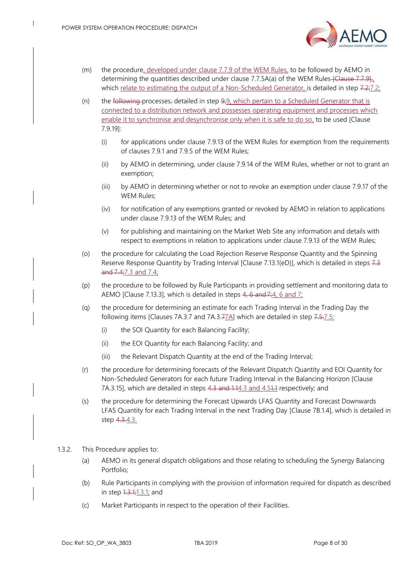

- (m) the procedure, developed under clause 7.7.9 of the WEM Rules, to be followed by AEMO in determining the quantities described under clause 7.7.5A(a) of the WEM Rules- $\frac{[Clause\ 7.7.9]}{n}$ which relate to estimating the output of a Non-Scheduled Generator, is detailed in step 7.2[;7.2;](#page-37-1)
- (n) the following processes, detailed in step  $9.9$ , which pertain to a Scheduled Generator that is connected to a distribution network and possesses operating equipment and processes which enable it to synchronise and desynchronise only when it is safe to do so, to be used [Clause 7.9.19]:
	- (i) for applications under clause 7.9.13 of the WEM Rules for exemption from the requirements of clauses 7.9.1 and 7.9.5 of the WEM Rules;
	- (ii) by AEMO in determining, under clause 7.9.14 of the WEM Rules, whether or not to grant an exemption;
	- (iii) by AEMO in determining whether or not to revoke an exemption under clause 7.9.17 of the WEM Rules;
	- (iv) for notification of any exemptions granted or revoked by AEMO in relation to applications under clause 7.9.13 of the WEM Rules; and
	- (v) for publishing and maintaining on the Market Web Site any information and details with respect to exemptions in relation to applications under clause 7.9.13 of the WEM Rules;
- (o) the procedure for calculating the Load Rejection Reserve Response Quantity and the Spinning Reserve Response Quantity by Trading Interval [Clause 7.13.1(eD)], which is detailed in steps 7.3 and 7.[4;7.3](#page-38-1) and [7.4;](#page-39-1)
- (p) the procedure to be followed by Rule Participants in providing settlement and monitoring data to AEMO [Clause 7.13.3], which is detailed in steps  $4, 6$  $4, 6$  and  $7, 6$  and  $7$ ;
- (q) the procedure for determining an estimate for each Trading Interval in the Trading Day the following items [Clauses 7A.3.7 and 7A.3. $7A$ ] which are detailed in step  $7.5:7.5:7.5$  $7.5:7.5:7.5$  $7.5:7.5:7.5$ 
	- (i) the SOI Quantity for each Balancing Facility;
	- (ii) the EOI Quantity for each Balancing Facility; and
	- (iii) the Relevant Dispatch Quantity at the end of the Trading Interval;
- (r) the procedure for determining forecasts of the Relevant Dispatch Quantity and EOI Quantity for Non-Scheduled Generators for each future Trading Interval in the Balancing Horizon [Clause 7A.3.15], which are detailed in steps 4.3 and 1.[14.3](#page-17-2) and [4.51.1](#page-19-2) respectively; and
- (s) the procedure for determining the Forecast Upwards LFAS Quantity and Forecast Downwards LFAS Quantity for each Trading Interval in the next Trading Day [Clause 7B.1.4], which is detailed in step 4.3[.4.3.](#page-17-2)

#### 1.3.2. This Procedure applies to:

- (a) AEMO in its general dispatch obligations and those relating to scheduling the Synergy Balancing Portfolio;
- (b) Rule Participants in complying with the provision of information required for dispatch as described in step 1.3.[1;1.3.1;](#page-9-7) and
- <span id="page-12-0"></span>(c) Market Participants in respect to the operation of their Facilities.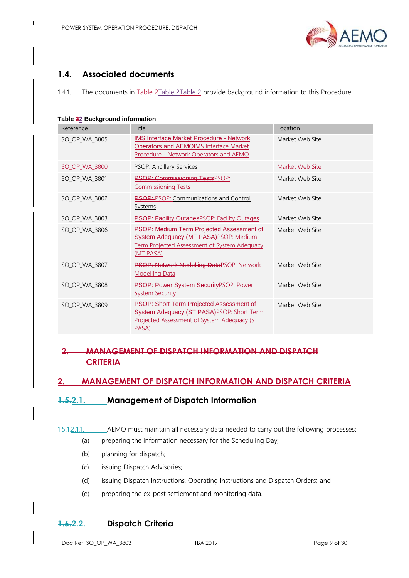

### **1.4. Associated documents**

 $\mathsf{l}$ 

1.4.1. The documents in Table [2Table 2Table 2](#page-13-4) provide background information to this Procedure.

<span id="page-13-4"></span><span id="page-13-3"></span>

|  | Table 22 Background information |  |
|--|---------------------------------|--|
|--|---------------------------------|--|

| Reference     | Title                                                                                                                                                              | Location        |
|---------------|--------------------------------------------------------------------------------------------------------------------------------------------------------------------|-----------------|
| SO_OP_WA_3805 | <b>IMS Interface Market Procedure - Network</b><br><b>Operators and AEMOIMS Interface Market</b><br>Procedure - Network Operators and AEMO                         | Market Web Site |
| SO OP WA 3800 | <b>PSOP: Ancillary Services</b>                                                                                                                                    | Market Web Site |
| SO OP WA 3801 | <b>PSOP: Commissioning TestsPSOP:</b><br><b>Commissioning Tests</b>                                                                                                | Market Web Site |
| SO_OP_WA_3802 | <b>PSOP:</b> -PSOP: Communications and Control<br><b>Systems</b>                                                                                                   | Market Web Site |
| SO_OP_WA_3803 | <b>PSOP: Facility Outages PSOP: Facility Outages</b>                                                                                                               | Market Web Site |
| SO_OP_WA_3806 | <b>PSOP: Medium Term Projected Assessment of</b><br><b>System Adequacy (MT PASA)PSOP: Medium</b><br>Term Projected Assessment of System Adequacy<br>(MT PASA)      | Market Web Site |
| SO OP WA 3807 | PSOP: Network Modelling DataPSOP: Network<br><b>Modelling Data</b>                                                                                                 | Market Web Site |
| SO_OP_WA_3808 | PSOP: Power System SecurityPSOP: Power<br><b>System Security</b>                                                                                                   | Market Web Site |
| SO_OP_WA_3809 | <b>PSOP: Short Term Projected Assessment of</b><br><b>System Adequacy (ST PASA)PSOP: Short Term</b><br><u>Projected Assessment of System Adequacy (ST</u><br>PASA) | Market Web Site |

### **2. MANAGEMENT OF DISPATCH INFORMATION AND DISPATCH CRITERIA**

#### <span id="page-13-0"></span>**2. MANAGEMENT OF DISPATCH INFORMATION AND DISPATCH CRITERIA**

#### <span id="page-13-1"></span>**1.5.2.1. Management of Dispatch Information**

- 1.5.1.2.1.1. AEMO must maintain all necessary data needed to carry out the following processes:
	- (a) preparing the information necessary for the Scheduling Day;
	- (b) planning for dispatch;
	- (c) issuing Dispatch Advisories;
	- (d) issuing Dispatch Instructions, Operating Instructions and Dispatch Orders; and
	- (e) preparing the ex-post settlement and monitoring data.

#### <span id="page-13-2"></span>**1.6.2.2. Dispatch Criteria**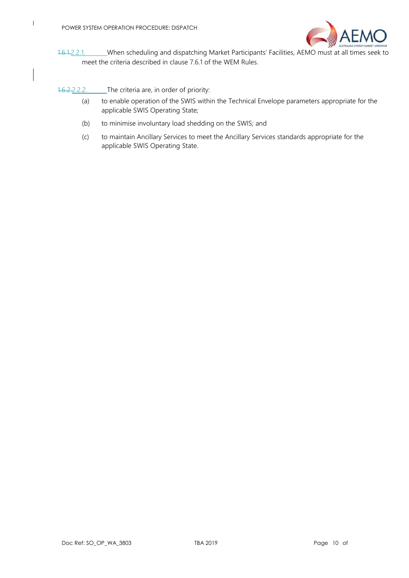

1.6.1.2.2.1. When scheduling and dispatching Market Participants' Facilities, AEMO must at all times seek to meet the criteria described in clause 7.6.1 of the WEM Rules.

1.6.2.2.2.2. The criteria are, in order of priority:

- (a) to enable operation of the SWIS within the Technical Envelope parameters appropriate for the applicable SWIS Operating State;
- (b) to minimise involuntary load shedding on the SWIS; and
- (c) to maintain Ancillary Services to meet the Ancillary Services standards appropriate for the applicable SWIS Operating State.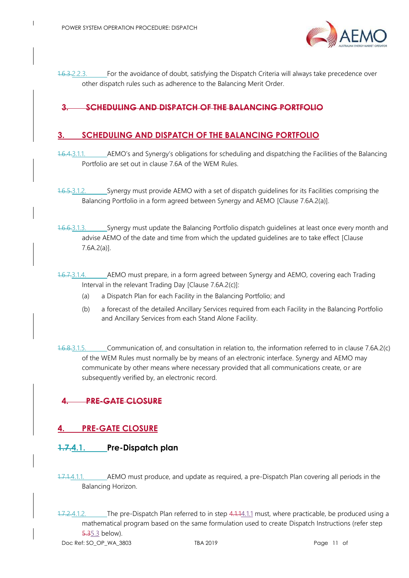

1.6.3.2.2.3. For the avoidance of doubt, satisfying the Dispatch Criteria will always take precedence over other dispatch rules such as adherence to the Balancing Merit Order.

#### **3. SCHEDULING AND DISPATCH OF THE BALANCING PORTFOLIO**

#### <span id="page-15-3"></span><span id="page-15-0"></span>**3. SCHEDULING AND DISPATCH OF THE BALANCING PORTFOLIO**

- 1.6.4.3.1.1. AEMO's and Synergy's obligations for scheduling and dispatching the Facilities of the Balancing Portfolio are set out in clause 7.6A of the WEM Rules.
- <span id="page-15-6"></span>1.6.5.3.1.2. Synergy must provide AEMO with a set of dispatch guidelines for its Facilities comprising the Balancing Portfolio in a form agreed between Synergy and AEMO [Clause 7.6A.2(a)].
- 1.6.6.3.1.3. Synergy must update the Balancing Portfolio dispatch guidelines at least once every month and advise AEMO of the date and time from which the updated guidelines are to take effect [Clause 7.6A.2(a)].
- 1.6.7.3.1.4. AEMO must prepare, in a form agreed between Synergy and AEMO, covering each Trading Interval in the relevant Trading Day [Clause 7.6A.2(c)]:
	- (a) a Dispatch Plan for each Facility in the Balancing Portfolio; and
	- (b) a forecast of the detailed Ancillary Services required from each Facility in the Balancing Portfolio and Ancillary Services from each Stand Alone Facility.
- 1.6.8.3.1.5. Communication of, and consultation in relation to, the information referred to in clause 7.6A.2(c) of the WEM Rules must normally be by means of an electronic interface. Synergy and AEMO may communicate by other means where necessary provided that all communications create, or are subsequently verified by, an electronic record.

### **4. PRE-GATE CLOSURE**

#### <span id="page-15-4"></span><span id="page-15-1"></span>**4. PRE-GATE CLOSURE**

#### <span id="page-15-7"></span><span id="page-15-2"></span>**1.7.4.1. Pre-Dispatch plan**

- <span id="page-15-5"></span>1.7.1.4.1.1. AEMO must produce, and update as required, a pre-Dispatch Plan covering all periods in the Balancing Horizon.
- 1.7.2.4.1.2. The pre-Dispatch Plan referred to in step 4.1.[14.1.1](#page-15-5) must, where practicable, be produced using a mathematical program based on the same formulation used to create Dispatch Instructions (refer step 5.[35.3](#page-25-5) below).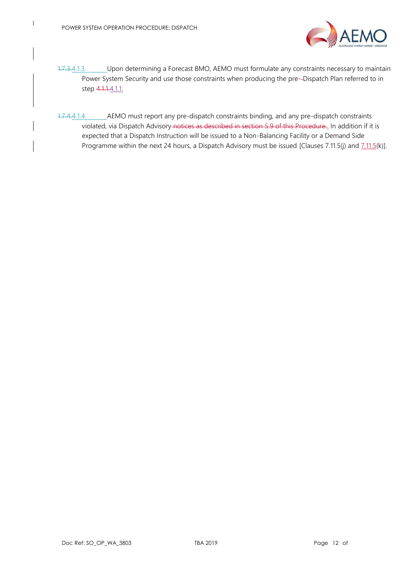

- <span id="page-16-0"></span>1.7.3.4.1.3. Upon determining a Forecast BMO, AEMO must formulate any constraints necessary to maintain Power System Security and use those constraints when producing the pre--Dispatch Plan referred to in step 4.1.1[.4.1.1.](#page-15-5)
- 1.7.4.4.1.4. AEMO must report any pre-dispatch constraints binding, and any pre-dispatch constraints violated, via Dispatch Advisory notices as described in section 5.9 of this Procedure. In addition if it is expected that a Dispatch Instruction will be issued to a Non-Balancing Facility or a Demand Side Programme within the next 24 hours, a Dispatch Advisory must be issued [Clauses 7.11.5(j) and  $7.11.5(k)$ ].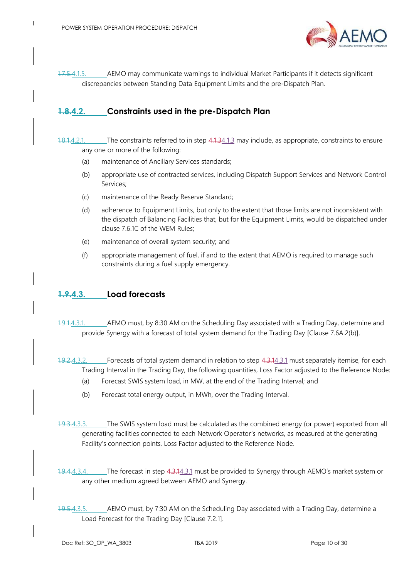

1.7.5.4.1.5. AEMO may communicate warnings to individual Market Participants if it detects significant discrepancies between Standing Data Equipment Limits and the pre-Dispatch Plan.

### <span id="page-17-0"></span>**1.8.4.2. Constraints used in the pre-Dispatch Plan**

1.8.1.4.2.1. The constraints referred to in step 4.1.[34.1.3](#page-16-0) may include, as appropriate, constraints to ensure any one or more of the following:

- (a) maintenance of Ancillary Services standards;
- (b) appropriate use of contracted services, including Dispatch Support Services and Network Control Services;
- (c) maintenance of the Ready Reserve Standard;
- (d) adherence to Equipment Limits, but only to the extent that those limits are not inconsistent with the dispatch of Balancing Facilities that, but for the Equipment Limits, would be dispatched under clause 7.6.1C of the WEM Rules;
- (e) maintenance of overall system security; and
- (f) appropriate management of fuel, if and to the extent that AEMO is required to manage such constraints during a fuel supply emergency.

#### <span id="page-17-2"></span><span id="page-17-1"></span>**1.9.4.3. Load forecasts**

<span id="page-17-3"></span>1.9.1.4.3.1. AEMO must, by 8:30 AM on the Scheduling Day associated with a Trading Day, determine and provide Synergy with a forecast of total system demand for the Trading Day [Clause 7.6A.2(b)].

1.9.2.4.3.2. Forecasts of total system demand in relation to step 4.3.[14.3.1](#page-17-3) must separately itemise, for each Trading Interval in the Trading Day, the following quantities, Loss Factor adjusted to the Reference Node:

- (a) Forecast SWIS system load, in MW, at the end of the Trading Interval; and
- (b) Forecast total energy output, in MWh, over the Trading Interval.
- 1.9.3.4.3.3. The SWIS system load must be calculated as the combined energy (or power) exported from all generating facilities connected to each Network Operator's networks, as measured at the generating Facility's connection points, Loss Factor adjusted to the Reference Node.
- 1.9.4.4.3.4. The forecast in step 4.3.[14.3.1](#page-17-3) must be provided to Synergy through AEMO's market system or any other medium agreed between AEMO and Synergy.
- <span id="page-17-4"></span>1.9.5.4.3.5. AEMO must, by 7:30 AM on the Scheduling Day associated with a Trading Day, determine a Load Forecast for the Trading Day [Clause 7.2.1].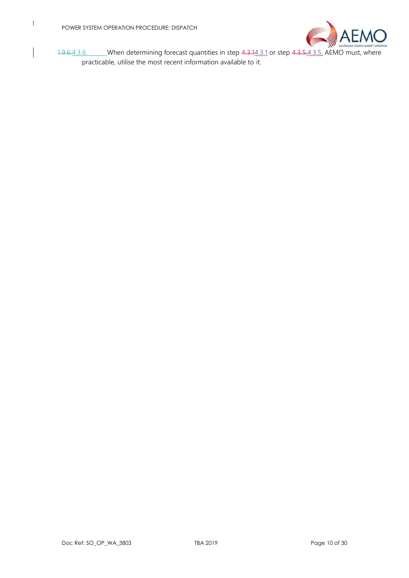

1.9.6.4.3.6. When determining forecast quantities in step 4.3.[14.3.1](#page-17-3) or step 4.3.[5,4.3.5,](#page-17-4) AEMO must, where practicable, utilise the most recent information available to it.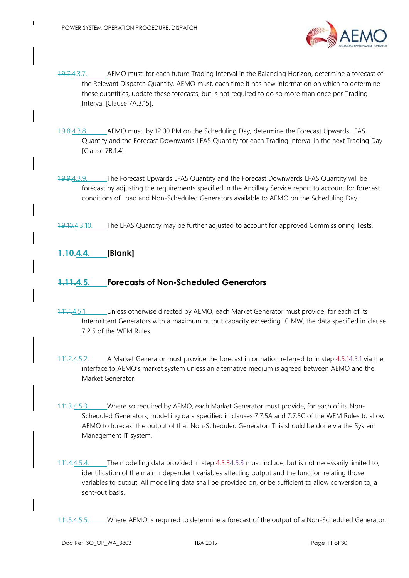

- 1.9.7.4.3.7. AEMO must, for each future Trading Interval in the Balancing Horizon, determine a forecast of the Relevant Dispatch Quantity. AEMO must, each time it has new information on which to determine these quantities, update these forecasts, but is not required to do so more than once per Trading Interval [Clause 7A.3.15].
- 1.9.8.4.3.8. AEMO must, by 12:00 PM on the Scheduling Day, determine the Forecast Upwards LFAS Quantity and the Forecast Downwards LFAS Quantity for each Trading Interval in the next Trading Day [Clause 7B.1.4].
- 1.9.9.4.3.9. The Forecast Upwards LFAS Quantity and the Forecast Downwards LFAS Quantity will be forecast by adjusting the requirements specified in the Ancillary Service report to account for forecast conditions of Load and Non-Scheduled Generators available to AEMO on the Scheduling Day.
- 1.9.10.4.3.10. The LFAS Quantity may be further adjusted to account for approved Commissioning Tests.

### <span id="page-19-0"></span>**1.10.4.4. [Blank]**

#### <span id="page-19-2"></span><span id="page-19-1"></span>**1.11.4.5. Forecasts of Non-Scheduled Generators**

- <span id="page-19-3"></span>1.11.1.4.5.1. Unless otherwise directed by AEMO, each Market Generator must provide, for each of its Intermittent Generators with a maximum output capacity exceeding 10 MW, the data specified in clause 7.2.5 of the WEM Rules.
- 1.11.2.4.5.2. A Market Generator must provide the forecast information referred to in step 4.5.[14.5.1](#page-19-3) via the interface to AEMO's market system unless an alternative medium is agreed between AEMO and the Market Generator.
- <span id="page-19-4"></span>1.11.3.4.5.3. Where so required by AEMO, each Market Generator must provide, for each of its Non-Scheduled Generators, modelling data specified in clauses 7.7.5A and 7.7.5C of the WEM Rules to allow AEMO to forecast the output of that Non-Scheduled Generator. This should be done via the System Management IT system.
- 1.11.4.4.5.4. The modelling data provided in step 4.5.[34.5.3](#page-19-4) must include, but is not necessarily limited to, identification of the main independent variables affecting output and the function relating those variables to output. All modelling data shall be provided on, or be sufficient to allow conversion to, a sent-out basis.
- 1.11.5.4.5.5. Where AEMO is required to determine a forecast of the output of a Non-Scheduled Generator: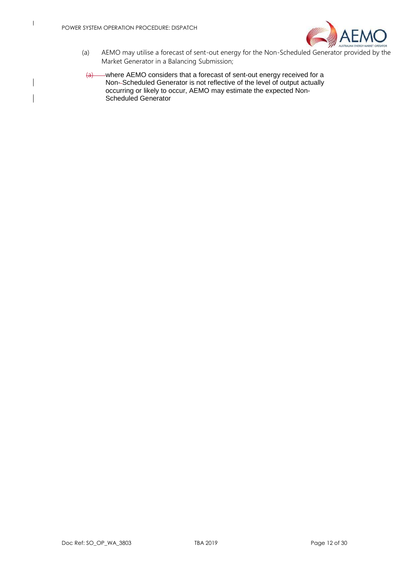

- (a) AEMO may utilise a forecast of sent-out energy for the Non-Scheduled Generator provided by the Market Generator in a Balancing Submission;
- (a) where AEMO considers that a forecast of sent-out energy received for a Non- Scheduled Generator is not reflective of the level of output actually occurring or likely to occur, AEMO may estimate the expected Non-Scheduled Generator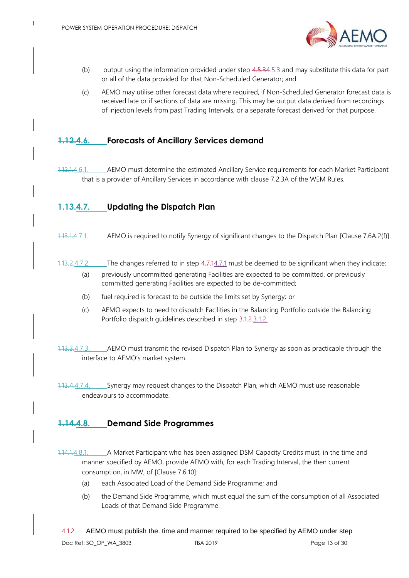

- (b) output using the information provided under step  $4.5.34.5.3$  $4.5.34.5.3$  and may substitute this data for part or all of the data provided for that Non-Scheduled Generator; and
- (c) AEMO may utilise other forecast data where required, if Non-Scheduled Generator forecast data is received late or if sections of data are missing. This may be output data derived from recordings of injection levels from past Trading Intervals, or a separate forecast derived for that purpose.

#### <span id="page-21-0"></span>**1.12.4.6. Forecasts of Ancillary Services demand**

1.12.1.4.6.1. AEMO must determine the estimated Ancillary Service requirements for each Market Participant that is a provider of Ancillary Services in accordance with clause 7.2.3A of the WEM Rules.

#### <span id="page-21-4"></span><span id="page-21-1"></span>**1.13.4.7. Updating the Dispatch Plan**

- <span id="page-21-5"></span>1.13.1.4.7.1. AEMO is required to notify Synergy of significant changes to the Dispatch Plan [Clause 7.6A.2(f)].
- 1.13.2.4.7.2. The changes referred to in step 4.7.[14.7.1](#page-21-5) must be deemed to be significant when they indicate: (a) previously uncommitted generating Facilities are expected to be committed, or previously committed generating Facilities are expected to be de-committed;
	- (b) fuel required is forecast to be outside the limits set by Synergy; or
	- (c) AEMO expects to need to dispatch Facilities in the Balancing Portfolio outside the Balancing Portfolio dispatch guidelines described in step 3.1.2[.3.1.2.](#page-15-6)
- 1.13.3.4.7.3. AEMO must transmit the revised Dispatch Plan to Synergy as soon as practicable through the interface to AEMO's market system.
- 1.13.4.4.7.4. Synergy may request changes to the Dispatch Plan, which AEMO must use reasonable endeavours to accommodate.

#### <span id="page-21-2"></span>**1.14.4.8. Demand Side Programmes**

<span id="page-21-3"></span>1.14.1.4.8.1. A Market Participant who has been assigned DSM Capacity Credits must, in the time and manner specified by AEMO, provide AEMO with, for each Trading Interval, the then current consumption, in MW, of [Clause 7.6.10]:

- (a) each Associated Load of the Demand Side Programme; and
- (b) the Demand Side Programme, which must equal the sum of the consumption of all Associated Loads of that Demand Side Programme.

<span id="page-21-6"></span>4.1.2. AEMO must publish the<sub>r</sub> time and manner required to be specified by AEMO under step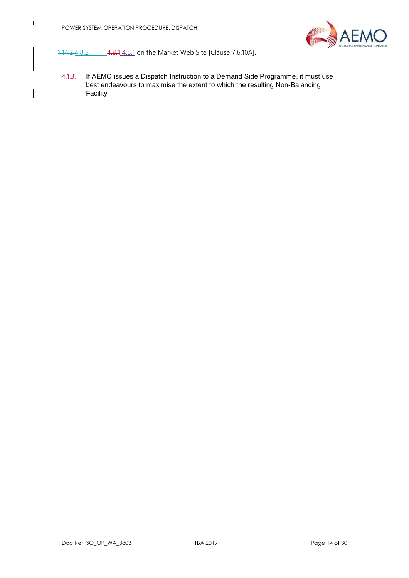

1.14.2.4.8.2. 4.8.1 [4.8.1](#page-21-3) on the Market Web Site [Clause 7.6.10A].

4.1.3. If AEMO issues a Dispatch Instruction to a Demand Side Programme, it must use best endeavours to maximise the extent to which the resulting Non-Balancing Facility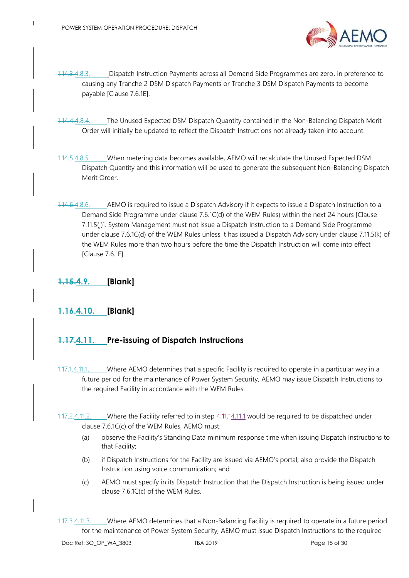

- 1.14.3.4.8.3. Dispatch Instruction Payments across all Demand Side Programmes are zero, in preference to causing any Tranche 2 DSM Dispatch Payments or Tranche 3 DSM Dispatch Payments to become payable [Clause 7.6.1E].
- 1.14.4.4.8.4. The Unused Expected DSM Dispatch Quantity contained in the Non-Balancing Dispatch Merit Order will initially be updated to reflect the Dispatch Instructions not already taken into account.
- 1.14.5.4.8.5. When metering data becomes available, AEMO will recalculate the Unused Expected DSM Dispatch Quantity and this information will be used to generate the subsequent Non-Balancing Dispatch Merit Order.
- 1.14.6.4.8.6. AEMO is required to issue a Dispatch Advisory if it expects to issue a Dispatch Instruction to a Demand Side Programme under clause 7.6.1C(d) of the WEM Rules) within the next 24 hours [Clause 7.11.5(j)]. System Management must not issue a Dispatch Instruction to a Demand Side Programme under clause 7.6.1C(d) of the WEM Rules unless it has issued a Dispatch Advisory under clause 7.11.5(k) of the WEM Rules more than two hours before the time the Dispatch Instruction will come into effect [Clause 7.6.1F].

#### <span id="page-23-0"></span>**1.15.4.9. [Blank]**

### <span id="page-23-1"></span>**1.16.4.10. [Blank]**

#### <span id="page-23-2"></span>**1.17.4.11. Pre-issuing of Dispatch Instructions**

- <span id="page-23-3"></span>1.17.1.4.11.1. Where AEMO determines that a specific Facility is required to operate in a particular way in a future period for the maintenance of Power System Security, AEMO may issue Dispatch Instructions to the required Facility in accordance with the WEM Rules.
- 1.17.2.4.11.2. Where the Facility referred to in step 4.11.[14.11.1](#page-23-3) would be required to be dispatched under clause 7.6.1C(c) of the WEM Rules, AEMO must:
	- (a) observe the Facility's Standing Data minimum response time when issuing Dispatch Instructions to that Facility;
	- (b) if Dispatch Instructions for the Facility are issued via AEMO's portal, also provide the Dispatch Instruction using voice communication; and
	- (c) AEMO must specify in its Dispatch Instruction that the Dispatch Instruction is being issued under clause 7.6.1C(c) of the WEM Rules.

<span id="page-23-4"></span>1.17.3.4.11.3. Where AEMO determines that a Non-Balancing Facility is required to operate in a future period for the maintenance of Power System Security, AEMO must issue Dispatch Instructions to the required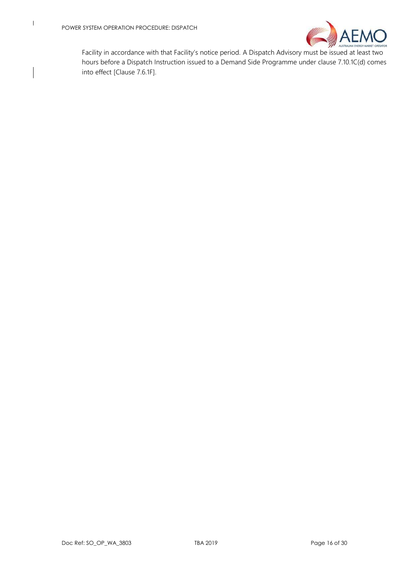

Facility in accordance with that Facility's notice period. A Dispatch Advisory must be issued at least two hours before a Dispatch Instruction issued to a Demand Side Programme under clause 7.10.1C(d) comes into effect [Clause 7.6.1F].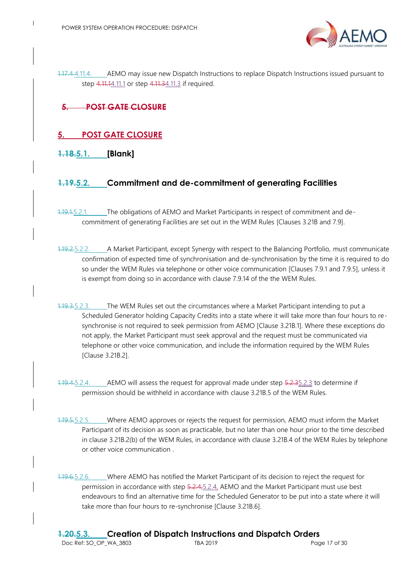

1.17.4.4.11.4. AEMO may issue new Dispatch Instructions to replace Dispatch Instructions issued pursuant to step 4.11.[14.11.1](#page-23-3) or step 4.11.[34.11.3](#page-23-4) if required.

## **5. POST GATE CLOSURE**

### <span id="page-25-0"></span>**5. POST GATE CLOSURE**

<span id="page-25-1"></span>**1.18.5.1. [Blank]**

#### <span id="page-25-4"></span><span id="page-25-2"></span>**1.19.5.2. Commitment and de-commitment of generating Facilities**

- 1.19.1.5.2.1. The obligations of AEMO and Market Participants in respect of commitment and decommitment of generating Facilities are set out in the WEM Rules [Clauses 3.21B and 7.9].
- 1.19.2.5.2.2. A Market Participant, except Synergy with respect to the Balancing Portfolio, must communicate confirmation of expected time of synchronisation and de-synchronisation by the time it is required to do so under the WEM Rules via telephone or other voice communication [Clauses 7.9.1 and 7.9.5], unless it is exempt from doing so in accordance with clause 7.9.14 of the the WEM Rules.
- <span id="page-25-6"></span>1.19.3.5.2.3. The WEM Rules set out the circumstances where a Market Participant intending to put a Scheduled Generator holding Capacity Credits into a state where it will take more than four hours to resynchronise is not required to seek permission from AEMO [Clause 3.21B.1]. Where these exceptions do not apply, the Market Participant must seek approval and the request must be communicated via telephone or other voice communication, and include the information required by the WEM Rules [Clause 3.21B.2].
- <span id="page-25-7"></span>1.19.4.5.2.4. AEMO will assess the request for approval made under step 5.2.[35.2.3](#page-25-6) to determine if permission should be withheld in accordance with clause 3.21B.5 of the WEM Rules.
- 1.19.5.5.2.5. Where AEMO approves or rejects the request for permission, AEMO must inform the Market Participant of its decision as soon as practicable, but no later than one hour prior to the time described in clause 3.21B.2(b) of the WEM Rules, in accordance with clause 3.21B.4 of the WEM Rules by telephone or other voice communication .
- <span id="page-25-5"></span><span id="page-25-3"></span>1.19.6.5.2.6. Where AEMO has notified the Market Participant of its decision to reject the request for permission in accordance with step 5.2.4, 5.2.4, AEMO and the Market Participant must use best endeavours to find an alternative time for the Scheduled Generator to be put into a state where it will take more than four hours to re-synchronise [Clause 3.21B.6].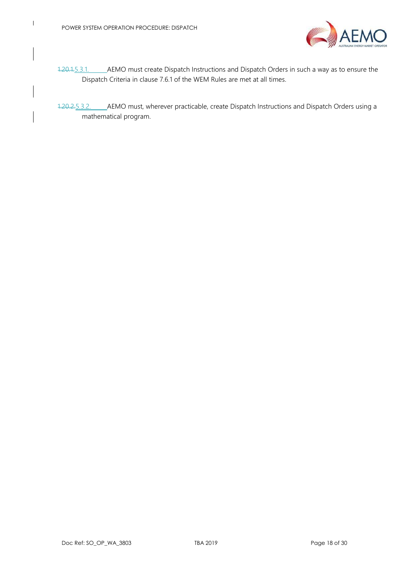

- 1.20.1.5.3.1. AEMO must create Dispatch Instructions and Dispatch Orders in such a way as to ensure the Dispatch Criteria in clause 7.6.1 of the WEM Rules are met at all times.
- 1.20.2.5.3.2. AEMO must, wherever practicable, create Dispatch Instructions and Dispatch Orders using a mathematical program.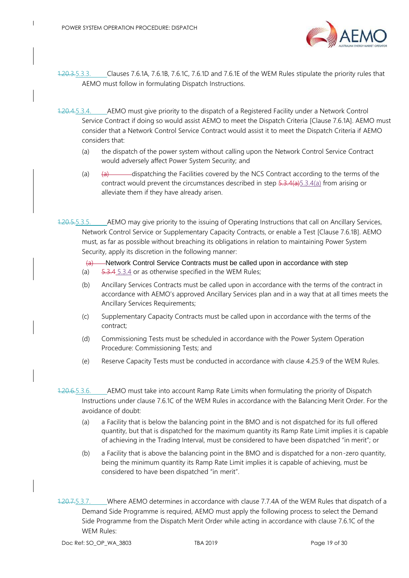

- 1.20.3.5.3.3. Clauses 7.6.1A, 7.6.1B, 7.6.1C, 7.6.1D and 7.6.1E of the WEM Rules stipulate the priority rules that AEMO must follow in formulating Dispatch Instructions.
- <span id="page-27-3"></span><span id="page-27-2"></span>1.20.4.5.3.4. AEMO must give priority to the dispatch of a Registered Facility under a Network Control Service Contract if doing so would assist AEMO to meet the Dispatch Criteria [Clause 7.6.1A]. AEMO must consider that a Network Control Service Contract would assist it to meet the Dispatch Criteria if AEMO considers that:
	- (a) the dispatch of the power system without calling upon the Network Control Service Contract would adversely affect Power System Security; and
	- (a)  $\qquad \qquad (a)$  dispatching the Facilities covered by the NCS Contract according to the terms of the contract would prevent the circumstances described in step  $5.3.4(a)5.3.4(a)$  $5.3.4(a)5.3.4(a)$  $5.3.4(a)5.3.4(a)$  from arising or alleviate them if they have already arisen.
- <span id="page-27-0"></span>1.20.5.5.3.5. AEMO may give priority to the issuing of Operating Instructions that call on Ancillary Services, Network Control Service or Supplementary Capacity Contracts, or enable a Test [Clause 7.6.1B]. AEMO must, as far as possible without breaching its obligations in relation to maintaining Power System Security, apply its discretion in the following manner:
	- (a) Network Control Service Contracts must be called upon in accordance with step
	- (a)  $5.3.4$   $5.3.4$  or as otherwise specified in the WEM Rules;
	- (b) Ancillary Services Contracts must be called upon in accordance with the terms of the contract in accordance with AEMO's approved Ancillary Services plan and in a way that at all times meets the Ancillary Services Requirements;
	- (c) Supplementary Capacity Contracts must be called upon in accordance with the terms of the contract;
	- (d) Commissioning Tests must be scheduled in accordance with the Power System Operation Procedure: Commissioning Tests; and
	- (e) Reserve Capacity Tests must be conducted in accordance with clause 4.25.9 of the WEM Rules.
- 1.20.6.5.3.6. AEMO must take into account Ramp Rate Limits when formulating the priority of Dispatch Instructions under clause 7.6.1C of the WEM Rules in accordance with the Balancing Merit Order. For the avoidance of doubt:
	- (a) a Facility that is below the balancing point in the BMO and is not dispatched for its full offered quantity, but that is dispatched for the maximum quantity its Ramp Rate Limit implies it is capable of achieving in the Trading Interval, must be considered to have been dispatched "in merit"; or
	- (b) a Facility that is above the balancing point in the BMO and is dispatched for a non-zero quantity, being the minimum quantity its Ramp Rate Limit implies it is capable of achieving, must be considered to have been dispatched "in merit".
- <span id="page-27-1"></span>1.20.7.5.3.7. Where AEMO determines in accordance with clause 7.7.4A of the WEM Rules that dispatch of a Demand Side Programme is required, AEMO must apply the following process to select the Demand Side Programme from the Dispatch Merit Order while acting in accordance with clause 7.6.1C of the WEM Rules: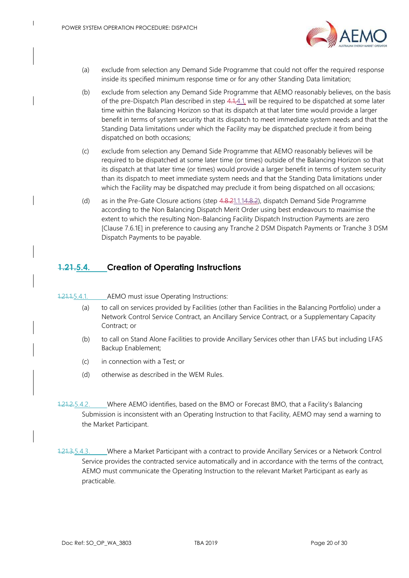

- (a) exclude from selection any Demand Side Programme that could not offer the required response inside its specified minimum response time or for any other Standing Data limitation;
- (b) exclude from selection any Demand Side Programme that AEMO reasonably believes, on the basis of the pre-Dispatch Plan described in step  $4.1,4.1$ , will be required to be dispatched at some later time within the Balancing Horizon so that its dispatch at that later time would provide a larger benefit in terms of system security that its dispatch to meet immediate system needs and that the Standing Data limitations under which the Facility may be dispatched preclude it from being dispatched on both occasions;
- (c) exclude from selection any Demand Side Programme that AEMO reasonably believes will be required to be dispatched at some later time (or times) outside of the Balancing Horizon so that its dispatch at that later time (or times) would provide a larger benefit in terms of system security than its dispatch to meet immediate system needs and that the Standing Data limitations under which the Facility may be dispatched may preclude it from being dispatched on all occasions;
- (d) as in the Pre-Gate Closure actions (step 4.8.[21.1.14.8.2\)](#page-21-6), dispatch Demand Side Programme according to the Non Balancing Dispatch Merit Order using best endeavours to maximise the extent to which the resulting Non-Balancing Facility Dispatch Instruction Payments are zero [Clause 7.6.1E] in preference to causing any Tranche 2 DSM Dispatch Payments or Tranche 3 DSM Dispatch Payments to be payable.

#### <span id="page-28-2"></span><span id="page-28-0"></span>**1.21.5.4. Creation of Operating Instructions**

#### 1.21.1.5.4.1. AEMO must issue Operating Instructions:

- (a) to call on services provided by Facilities (other than Facilities in the Balancing Portfolio) under a Network Control Service Contract, an Ancillary Service Contract, or a Supplementary Capacity Contract; or
- (b) to call on Stand Alone Facilities to provide Ancillary Services other than LFAS but including LFAS Backup Enablement;
- (c) in connection with a Test; or
- (d) otherwise as described in the WEM Rules.
- 1.21.2.5.4.2. Where AEMO identifies, based on the BMO or Forecast BMO, that a Facility's Balancing Submission is inconsistent with an Operating Instruction to that Facility, AEMO may send a warning to the Market Participant.
- <span id="page-28-3"></span><span id="page-28-1"></span>1.21.3.5.4.3. Where a Market Participant with a contract to provide Ancillary Services or a Network Control Service provides the contracted service automatically and in accordance with the terms of the contract, AEMO must communicate the Operating Instruction to the relevant Market Participant as early as practicable.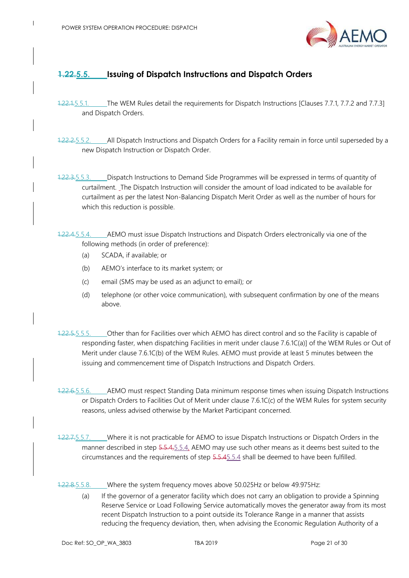

#### **1.22.5.5. Issuing of Dispatch Instructions and Dispatch Orders**

- 1.22.1.5.5.1. The WEM Rules detail the requirements for Dispatch Instructions [Clauses 7.7.1, 7.7.2 and 7.7.3] and Dispatch Orders.
- 1.22.2.5.5.2. All Dispatch Instructions and Dispatch Orders for a Facility remain in force until superseded by a new Dispatch Instruction or Dispatch Order.
- 1.22.3.5.5.3. Dispatch Instructions to Demand Side Programmes will be expressed in terms of quantity of curtailment. The Dispatch Instruction will consider the amount of load indicated to be available for curtailment as per the latest Non-Balancing Dispatch Merit Order as well as the number of hours for which this reduction is possible.
- <span id="page-29-0"></span>1.22.4.5.5.4. AEMO must issue Dispatch Instructions and Dispatch Orders electronically via one of the following methods (in order of preference):
	- (a) SCADA, if available; or
	- (b) AEMO's interface to its market system; or
	- (c) email (SMS may be used as an adjunct to email); or
	- (d) telephone (or other voice communication), with subsequent confirmation by one of the means above.
- 1.22.5.5.5.5.5.5. Other than for Facilities over which AEMO has direct control and so the Facility is capable of responding faster, when dispatching Facilities in merit under clause 7.6.1C(a)] of the WEM Rules or Out of Merit under clause 7.6.1C(b) of the WEM Rules. AEMO must provide at least 5 minutes between the issuing and commencement time of Dispatch Instructions and Dispatch Orders.
- 1.22.6.5.5.6. AEMO must respect Standing Data minimum response times when issuing Dispatch Instructions or Dispatch Orders to Facilities Out of Merit under clause 7.6.1C(c) of the WEM Rules for system security reasons, unless advised otherwise by the Market Participant concerned.
- 1.22.7.5.5.7. Where it is not practicable for AEMO to issue Dispatch Instructions or Dispatch Orders in the manner described in step 5.5.[4,5.5.4,](#page-29-0) AEMO may use such other means as it deems best suited to the circumstances and the requirements of step 5.5.[45.5.4](#page-29-0) shall be deemed to have been fulfilled.
- 1.22.8.5.5.8. Where the system frequency moves above 50.025Hz or below 49.975Hz:
	- (a) If the governor of a generator facility which does not carry an obligation to provide a Spinning Reserve Service or Load Following Service automatically moves the generator away from its most recent Dispatch Instruction to a point outside its Tolerance Range in a manner that assists reducing the frequency deviation, then, when advising the Economic Regulation Authority of a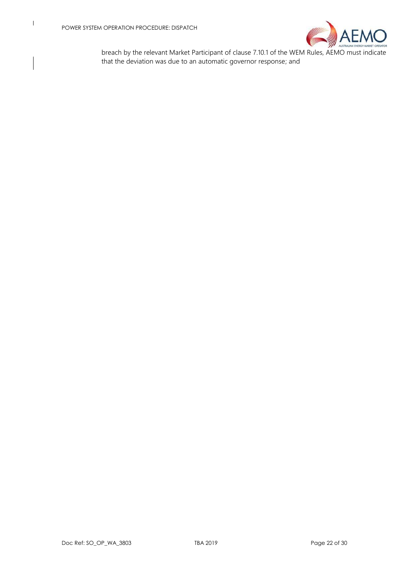

breach by the relevant Market Participant of clause 7.10.1 of the WEM Rules, AEMO must indicate that the deviation was due to an automatic governor response; and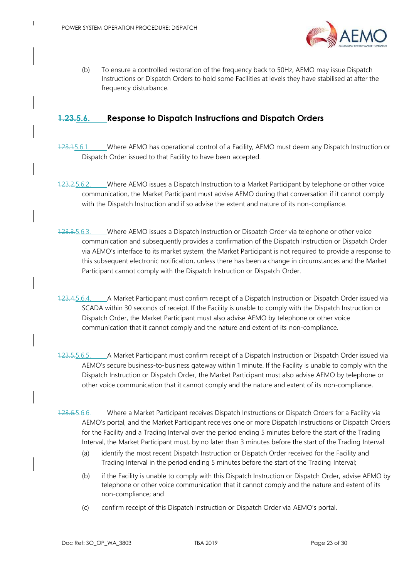

(b) To ensure a controlled restoration of the frequency back to 50Hz, AEMO may issue Dispatch Instructions or Dispatch Orders to hold some Facilities at levels they have stabilised at after the frequency disturbance.

#### <span id="page-31-1"></span><span id="page-31-0"></span>**1.23.5.6. Response to Dispatch Instructions and Dispatch Orders**

- 1.23.1.5.6.1. Where AEMO has operational control of a Facility, AEMO must deem any Dispatch Instruction or Dispatch Order issued to that Facility to have been accepted.
- 1.23.2.5.6.2. Where AEMO issues a Dispatch Instruction to a Market Participant by telephone or other voice communication, the Market Participant must advise AEMO during that conversation if it cannot comply with the Dispatch Instruction and if so advise the extent and nature of its non-compliance.
- 1.23.3.5.6.3. Where AEMO issues a Dispatch Instruction or Dispatch Order via telephone or other voice communication and subsequently provides a confirmation of the Dispatch Instruction or Dispatch Order via AEMO's interface to its market system, the Market Participant is not required to provide a response to this subsequent electronic notification, unless there has been a change in circumstances and the Market Participant cannot comply with the Dispatch Instruction or Dispatch Order.
- 1.23.4.5.6.4. A Market Participant must confirm receipt of a Dispatch Instruction or Dispatch Order issued via SCADA within 30 seconds of receipt. If the Facility is unable to comply with the Dispatch Instruction or Dispatch Order, the Market Participant must also advise AEMO by telephone or other voice communication that it cannot comply and the nature and extent of its non-compliance.
- 1.23.5.5.6.5. A Market Participant must confirm receipt of a Dispatch Instruction or Dispatch Order issued via AEMO's secure business-to-business gateway within 1 minute. If the Facility is unable to comply with the Dispatch Instruction or Dispatch Order, the Market Participant must also advise AEMO by telephone or other voice communication that it cannot comply and the nature and extent of its non-compliance.
- <span id="page-31-2"></span>1.23.6.5.6.6. Where a Market Participant receives Dispatch Instructions or Dispatch Orders for a Facility via AEMO's portal, and the Market Participant receives one or more Dispatch Instructions or Dispatch Orders for the Facility and a Trading Interval over the period ending 5 minutes before the start of the Trading Interval, the Market Participant must, by no later than 3 minutes before the start of the Trading Interval:
	- (a) identify the most recent Dispatch Instruction or Dispatch Order received for the Facility and Trading Interval in the period ending 5 minutes before the start of the Trading Interval;
	- (b) if the Facility is unable to comply with this Dispatch Instruction or Dispatch Order, advise AEMO by telephone or other voice communication that it cannot comply and the nature and extent of its non-compliance; and
	- (c) confirm receipt of this Dispatch Instruction or Dispatch Order via AEMO's portal.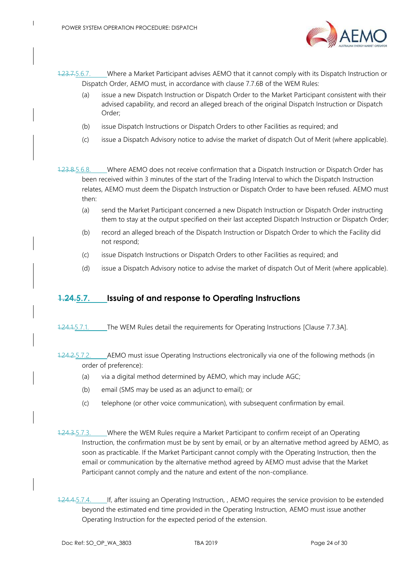

1.23.7.5.6.7. Where a Market Participant advises AEMO that it cannot comply with its Dispatch Instruction or Dispatch Order, AEMO must, in accordance with clause 7.7.6B of the WEM Rules:

- (a) issue a new Dispatch Instruction or Dispatch Order to the Market Participant consistent with their advised capability, and record an alleged breach of the original Dispatch Instruction or Dispatch Order;
- (b) issue Dispatch Instructions or Dispatch Orders to other Facilities as required; and
- (c) issue a Dispatch Advisory notice to advise the market of dispatch Out of Merit (where applicable).
- 1.23.8.5.6.8. Where AEMO does not receive confirmation that a Dispatch Instruction or Dispatch Order has been received within 3 minutes of the start of the Trading Interval to which the Dispatch Instruction relates, AEMO must deem the Dispatch Instruction or Dispatch Order to have been refused. AEMO must then:
	- (a) send the Market Participant concerned a new Dispatch Instruction or Dispatch Order instructing them to stay at the output specified on their last accepted Dispatch Instruction or Dispatch Order;
	- (b) record an alleged breach of the Dispatch Instruction or Dispatch Order to which the Facility did not respond;
	- (c) issue Dispatch Instructions or Dispatch Orders to other Facilities as required; and
	- (d) issue a Dispatch Advisory notice to advise the market of dispatch Out of Merit (where applicable).

#### <span id="page-32-1"></span><span id="page-32-0"></span>**1.24.5.7. Issuing of and response to Operating Instructions**

- 1.24.1.5.7.1. The WEM Rules detail the requirements for Operating Instructions [Clause 7.7.3A].
- 1.24.2.5.7.2. AEMO must issue Operating Instructions electronically via one of the following methods (in order of preference):
	- (a) via a digital method determined by AEMO, which may include AGC;
	- (b) email (SMS may be used as an adjunct to email); or
	- (c) telephone (or other voice communication), with subsequent confirmation by email.
- 1.24.3.5.7.3. Where the WEM Rules require a Market Participant to confirm receipt of an Operating Instruction, the confirmation must be by sent by email, or by an alternative method agreed by AEMO, as soon as practicable. If the Market Participant cannot comply with the Operating Instruction, then the email or communication by the alternative method agreed by AEMO must advise that the Market Participant cannot comply and the nature and extent of the non-compliance.
- 1.24.4.5.7.4. If, after issuing an Operating Instruction, , AEMO requires the service provision to be extended beyond the estimated end time provided in the Operating Instruction, AEMO must issue another Operating Instruction for the expected period of the extension.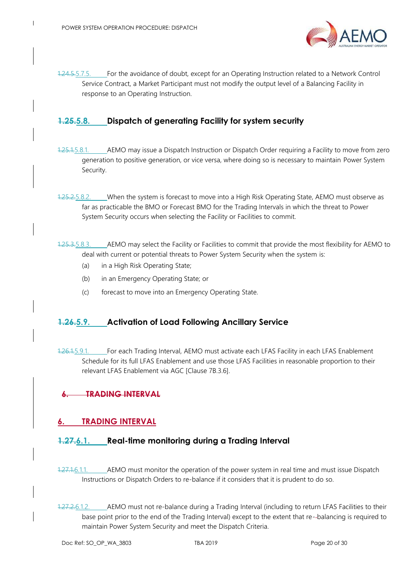

1.24.5.5.7.5. For the avoidance of doubt, except for an Operating Instruction related to a Network Control Service Contract, a Market Participant must not modify the output level of a Balancing Facility in response to an Operating Instruction.

## <span id="page-33-0"></span>**1.25.5.8. Dispatch of generating Facility for system security**

- 1.25.1.5.8.1. AEMO may issue a Dispatch Instruction or Dispatch Order requiring a Facility to move from zero generation to positive generation, or vice versa, where doing so is necessary to maintain Power System Security.
- 1.25.2.5.8.2. When the system is forecast to move into a High Risk Operating State, AEMO must observe as far as practicable the BMO or Forecast BMO for the Trading Intervals in which the threat to Power System Security occurs when selecting the Facility or Facilities to commit.
- 1.25.3.5.8.3. AEMO may select the Facility or Facilities to commit that provide the most flexibility for AEMO to deal with current or potential threats to Power System Security when the system is:
	- (a) in a High Risk Operating State;
	- (b) in an Emergency Operating State; or
	- (c) forecast to move into an Emergency Operating State.

#### <span id="page-33-1"></span>**1.26.5.9. Activation of Load Following Ancillary Service**

1.26.1.5.9.1. For each Trading Interval, AEMO must activate each LFAS Facility in each LFAS Enablement Schedule for its full LFAS Enablement and use those LFAS Facilities in reasonable proportion to their relevant LFAS Enablement via AGC [Clause 7B.3.6].

### **6. TRADING INTERVAL**

#### <span id="page-33-4"></span><span id="page-33-2"></span>**6. TRADING INTERVAL**

#### <span id="page-33-3"></span>**1.27.6.1. Real-time monitoring during a Trading Interval**

- 1.27.1.6.1.1. AEMO must monitor the operation of the power system in real time and must issue Dispatch Instructions or Dispatch Orders to re-balance if it considers that it is prudent to do so.
- 1.27.2.6.1.2. AEMO must not re-balance during a Trading Interval (including to return LFAS Facilities to their base point prior to the end of the Trading Interval) except to the extent that re- balancing is required to maintain Power System Security and meet the Dispatch Criteria.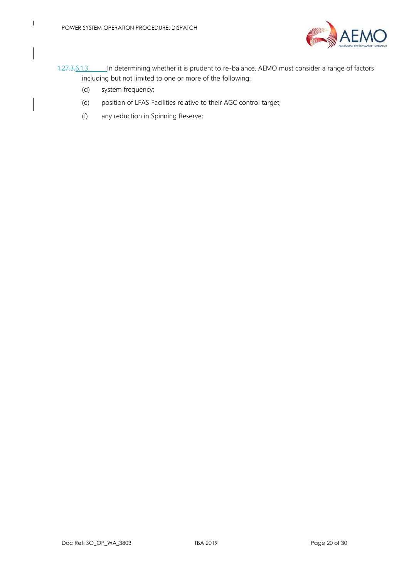

- 1.27.3.6.1.3. In determining whether it is prudent to re-balance, AEMO must consider a range of factors including but not limited to one or more of the following:
	- (d) system frequency;
	- (e) position of LFAS Facilities relative to their AGC control target;
	- (f) any reduction in Spinning Reserve;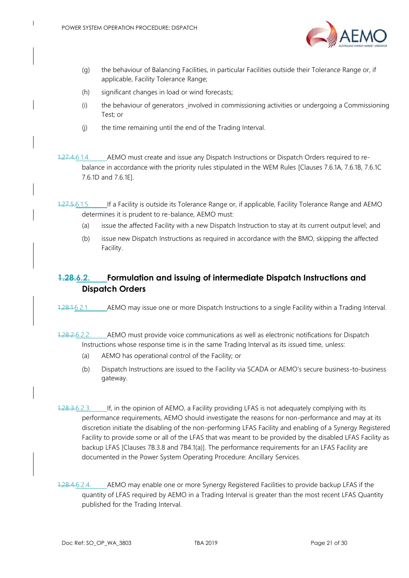

- (g) the behaviour of Balancing Facilities, in particular Facilities outside their Tolerance Range or, if applicable, Facility Tolerance Range;
- (h) significant changes in load or wind forecasts;
- (i) the behaviour of generators involved in commissioning activities or undergoing a Commissioning Test; or
- (j) the time remaining until the end of the Trading Interval.
- 1.27.4.6.1.4. AEMO must create and issue any Dispatch Instructions or Dispatch Orders required to rebalance in accordance with the priority rules stipulated in the WEM Rules [Clauses 7.6.1A, 7.6.1B, 7.6.1C 7.6.1D and 7.6.1E].
- 1.27.5.6.1.5. If a Facility is outside its Tolerance Range or, if applicable, Facility Tolerance Range and AEMO determines it is prudent to re-balance, AEMO must:
	- (a) issue the affected Facility with a new Dispatch Instruction to stay at its current output level; and
	- (b) issue new Dispatch Instructions as required in accordance with the BMO, skipping the affected Facility.

## <span id="page-35-0"></span>**1.28.6.2. Formulation and issuing of intermediate Dispatch Instructions and Dispatch Orders**

- 1.28.1.6.2.1. AEMO may issue one or more Dispatch Instructions to a single Facility within a Trading Interval.
- 1.28.2.6.2.2. AEMO must provide voice communications as well as electronic notifications for Dispatch Instructions whose response time is in the same Trading Interval as its issued time, unless:
	- (a) AEMO has operational control of the Facility; or
	- (b) Dispatch Instructions are issued to the Facility via SCADA or AEMO's secure business-to-business gateway.
- 1.28.3.6.2.3. If, in the opinion of AEMO, a Facility providing LFAS is not adequately complying with its performance requirements, AEMO should investigate the reasons for non-performance and may at its discretion initiate the disabling of the non-performing LFAS Facility and enabling of a Synergy Registered Facility to provide some or all of the LFAS that was meant to be provided by the disabled LFAS Facility as backup LFAS [Clauses 7B.3.8 and 7B4.1(a)]. The performance requirements for an LFAS Facility are documented in the Power System Operating Procedure: Ancillary Services.
- <span id="page-35-1"></span>1.28.4.6.2.4. AEMO may enable one or more Synergy Registered Facilities to provide backup LFAS if the quantity of LFAS required by AEMO in a Trading Interval is greater than the most recent LFAS Quantity published for the Trading Interval.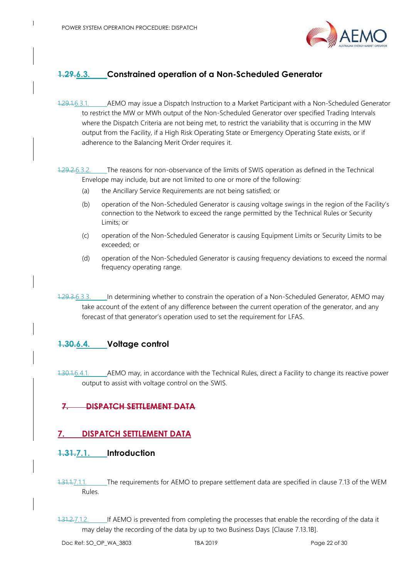

## **1.29.6.3. Constrained operation of a Non-Scheduled Generator**

1.29.1.6.3.1. AEMO may issue a Dispatch Instruction to a Market Participant with a Non-Scheduled Generator to restrict the MW or MWh output of the Non-Scheduled Generator over specified Trading Intervals where the Dispatch Criteria are not being met, to restrict the variability that is occurring in the MW output from the Facility, if a High Risk Operating State or Emergency Operating State exists, or if adherence to the Balancing Merit Order requires it.

1.29.2.6.3.2. The reasons for non-observance of the limits of SWIS operation as defined in the Technical Envelope may include, but are not limited to one or more of the following:

- (a) the Ancillary Service Requirements are not being satisfied; or
- (b) operation of the Non-Scheduled Generator is causing voltage swings in the region of the Facility's connection to the Network to exceed the range permitted by the Technical Rules or Security Limits; or
- (c) operation of the Non-Scheduled Generator is causing Equipment Limits or Security Limits to be exceeded; or
- (d) operation of the Non-Scheduled Generator is causing frequency deviations to exceed the normal frequency operating range.
- 1.29.3.6.3.3. In determining whether to constrain the operation of a Non-Scheduled Generator, AEMO may take account of the extent of any difference between the current operation of the generator, and any forecast of that generator's operation used to set the requirement for LFAS.

#### <span id="page-36-0"></span>**1.30.6.4. Voltage control**

1.30.1.6.4.1. \_\_\_\_\_ AEMO may, in accordance with the Technical Rules, direct a Facility to change its reactive power output to assist with voltage control on the SWIS.

### **7. DISPATCH SETTLEMENT DATA**

### <span id="page-36-3"></span><span id="page-36-1"></span>**7. DISPATCH SETTLEMENT DATA**

#### <span id="page-36-2"></span>**1.31.7.1. Introduction**

- 1.31.1.7.1.1. The requirements for AEMO to prepare settlement data are specified in clause 7.13 of the WEM Rules.
- 1.31.2.7.1.2. If AEMO is prevented from completing the processes that enable the recording of the data it may delay the recording of the data by up to two Business Days [Clause 7.13.1B].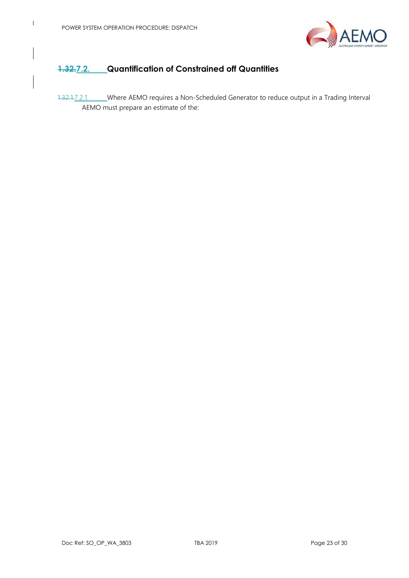

## <span id="page-37-1"></span><span id="page-37-0"></span>**1.32.7.2. Quantification of Constrained off Quantities**

<span id="page-37-2"></span>1.32.1.7.2.1. Where AEMO requires a Non-Scheduled Generator to reduce output in a Trading Interval AEMO must prepare an estimate of the: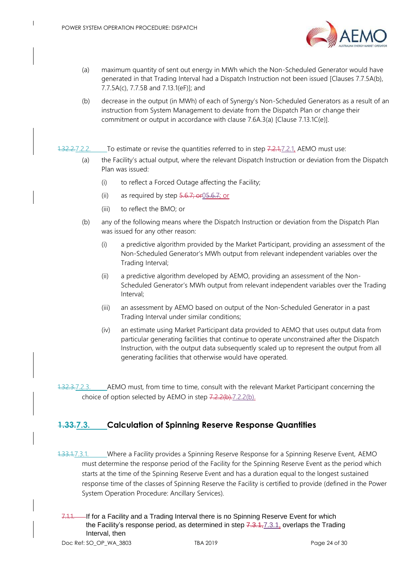

- (a) maximum quantity of sent out energy in MWh which the Non-Scheduled Generator would have generated in that Trading Interval had a Dispatch Instruction not been issued [Clauses 7.7.5A(b), 7.7.5A(c), 7.7.5B and 7.13.1(eF)]; and
- (b) decrease in the output (in MWh) of each of Synergy's Non-Scheduled Generators as a result of an instruction from System Management to deviate from the Dispatch Plan or change their commitment or output in accordance with clause 7.6A.3(a) [Clause 7.13.1C(e)].

#### <span id="page-38-2"></span>1.32.2.7.2.2. To estimate or revise the quantities referred to in step 7.2.1, Z.2.1, AEMO must use:

- (a) the Facility's actual output, where the relevant Dispatch Instruction or deviation from the Dispatch Plan was issued:
	- (i) to reflect a Forced Outage affecting the Facility;
	- (ii) as required by step  $\frac{5.6.7}{7}$  or  $\frac{0.5.6.7}{7}$  or
	- (iii) to reflect the BMO; or
- <span id="page-38-3"></span>(b) any of the following means where the Dispatch Instruction or deviation from the Dispatch Plan was issued for any other reason:
	- (i) a predictive algorithm provided by the Market Participant, providing an assessment of the Non-Scheduled Generator's MWh output from relevant independent variables over the Trading Interval;
	- (ii) a predictive algorithm developed by AEMO, providing an assessment of the Non-Scheduled Generator's MWh output from relevant independent variables over the Trading Interval;
	- (iii) an assessment by AEMO based on output of the Non-Scheduled Generator in a past Trading Interval under similar conditions;
	- (iv) an estimate using Market Participant data provided to AEMO that uses output data from particular generating facilities that continue to operate unconstrained after the Dispatch Instruction, with the output data subsequently scaled up to represent the output from all generating facilities that otherwise would have operated.

1.32.3.7.2.3. AEMO must, from time to time, consult with the relevant Market Participant concerning the choice of option selected by AEMO in step 7.2.2(b[\).7.2.2](#page-38-2)[\(b\).](#page-38-3)

### <span id="page-38-1"></span><span id="page-38-0"></span>**1.33.7.3. Calculation of Spinning Reserve Response Quantities**

- <span id="page-38-4"></span>1.33.1.7.3.1. Where a Facility provides a Spinning Reserve Response for a Spinning Reserve Event, AEMO must determine the response period of the Facility for the Spinning Reserve Event as the period which starts at the time of the Spinning Reserve Event and has a duration equal to the longest sustained response time of the classes of Spinning Reserve the Facility is certified to provide (defined in the Power System Operation Procedure: Ancillary Services).
- If for a Facility and a Trading Interval there is no Spinning Reserve Event for which the Facility's response period, as determined in step  $7.3.1,7.3.1$ , overlaps the Trading Interval, then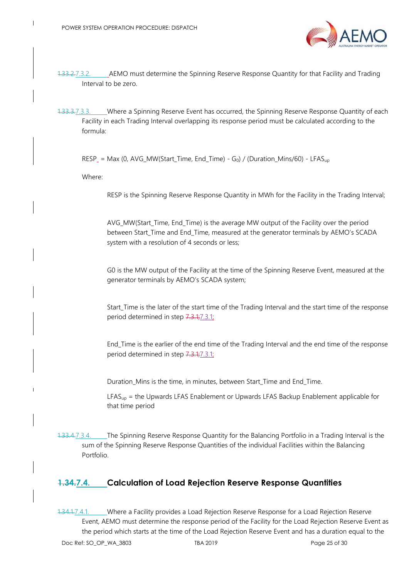

- 1.33.2.7.3.2. AEMO must determine the Spinning Reserve Response Quantity for that Facility and Trading Interval to be zero.
- 1.33.3.7.3.3. Where a Spinning Reserve Event has occurred, the Spinning Reserve Response Quantity of each Facility in each Trading Interval overlapping its response period must be calculated according to the formula:

 $RESP_{-} = Max (0, AVG_MW(Start\_Time, End\_Time) - G<sub>0</sub>) / (Duration_Mins/60) - LFAS<sub>up</sub>$ 

Where:

RESP is the Spinning Reserve Response Quantity in MWh for the Facility in the Trading Interval;

AVG\_MW(Start\_Time, End\_Time) is the average MW output of the Facility over the period between Start\_Time and End\_Time, measured at the generator terminals by AEMO's SCADA system with a resolution of 4 seconds or less;

G0 is the MW output of the Facility at the time of the Spinning Reserve Event, measured at the generator terminals by AEMO's SCADA system;

Start\_Time is the later of the start time of the Trading Interval and the start time of the response period determined in step 7.3.1[;7.3.1;](#page-38-4)

End\_Time is the earlier of the end time of the Trading Interval and the end time of the response period determined in step 7.3.1[;7.3.1;](#page-38-4)

Duration\_Mins is the time, in minutes, between Start\_Time and End\_Time.

 $LFAS<sub>up</sub>$  = the Upwards LFAS Enablement or Upwards LFAS Backup Enablement applicable for that time period

1.33.4.7.3.4. The Spinning Reserve Response Quantity for the Balancing Portfolio in a Trading Interval is the sum of the Spinning Reserve Response Quantities of the individual Facilities within the Balancing Portfolio.

#### <span id="page-39-1"></span><span id="page-39-0"></span>**1.34.7.4. Calculation of Load Rejection Reserve Response Quantities**

<span id="page-39-2"></span>1.34.1.7.4.1. Where a Facility provides a Load Rejection Reserve Response for a Load Rejection Reserve Event, AEMO must determine the response period of the Facility for the Load Rejection Reserve Event as the period which starts at the time of the Load Rejection Reserve Event and has a duration equal to the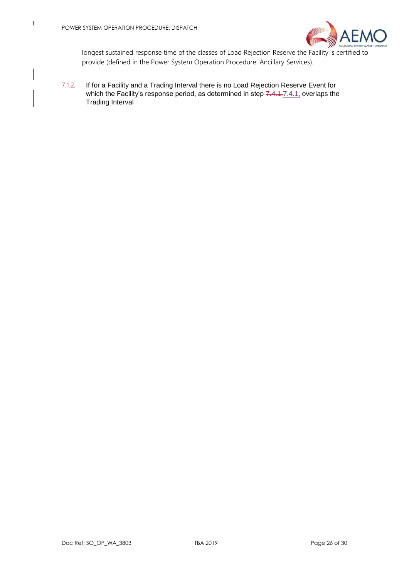

longest sustained response time of the classes of Load Rejection Reserve the Facility is certified to provide (defined in the Power System Operation Procedure: Ancillary Services).

7.1.2. If for a Facility and a Trading Interval there is no Load Rejection Reserve Event for which the Facility's response period, as determined in step  $7.4.1, 7.4.1$ , overlaps the Trading Interval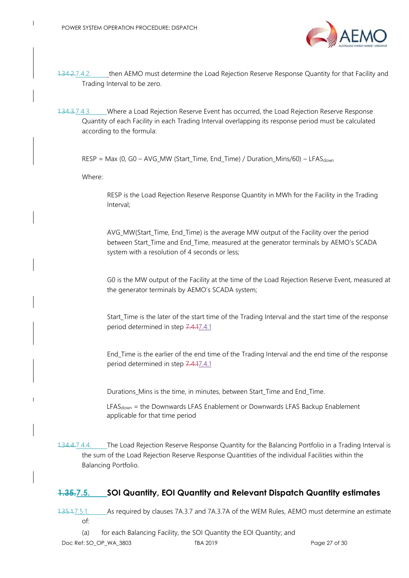

- 1.34.2.7.4.2. then AEMO must determine the Load Rejection Reserve Response Quantity for that Facility and Trading Interval to be zero.
- 1.34.3.7.4.3. Where a Load Rejection Reserve Event has occurred, the Load Rejection Reserve Response Quantity of each Facility in each Trading Interval overlapping its response period must be calculated according to the formula:

 $RESP = Max (0, GO - AVG_MW (Start\_Time, End\_Time) / Duration_Mins/60) - LFAST_{down}$ 

Where:

RESP is the Load Rejection Reserve Response Quantity in MWh for the Facility in the Trading Interval;

AVG\_MW(Start\_Time, End\_Time) is the average MW output of the Facility over the period between Start\_Time and End\_Time, measured at the generator terminals by AEMO's SCADA system with a resolution of 4 seconds or less;

G0 is the MW output of the Facility at the time of the Load Rejection Reserve Event, measured at the generator terminals by AEMO's SCADA system;

Start\_Time is the later of the start time of the Trading Interval and the start time of the response period determined in step 7.4.[17.4.1](#page-39-2)

End\_Time is the earlier of the end time of the Trading Interval and the end time of the response period determined in step 7.4.[17.4.1](#page-39-2)

Durations\_Mins is the time, in minutes, between Start\_Time and End\_Time.

LFAS<sub>down</sub> = the Downwards LFAS Enablement or Downwards LFAS Backup Enablement applicable for that time period

1.34.4.7.4.4. The Load Rejection Reserve Response Quantity for the Balancing Portfolio in a Trading Interval is the sum of the Load Rejection Reserve Response Quantities of the individual Facilities within the Balancing Portfolio.

#### <span id="page-41-1"></span><span id="page-41-0"></span>**1.35.7.5. SOI Quantity, EOI Quantity and Relevant Dispatch Quantity estimates**

<span id="page-41-2"></span>1.35.1.7.5.1. As required by clauses 7A.3.7 and 7A.3.7A of the WEM Rules, AEMO must determine an estimate of:

(a) for each Balancing Facility, the SOI Quantity the EOI Quantity; and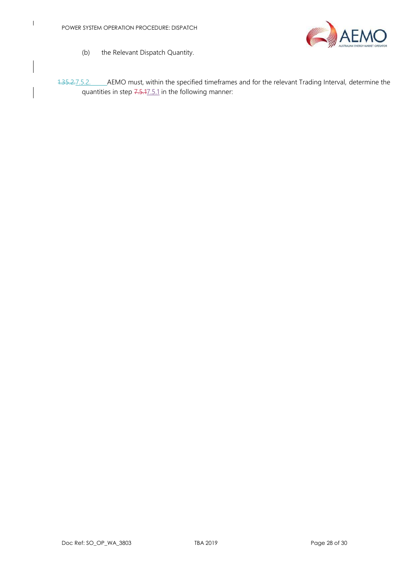$\begin{array}{c} \hline \end{array}$ 

<span id="page-42-1"></span>

- (b) the Relevant Dispatch Quantity.
- <span id="page-42-0"></span>1.35.2.7.5.2. AEMO must, within the specified timeframes and for the relevant Trading Interval, determine the quantities in step 7.5.[17.5.1](#page-41-2) in the following manner: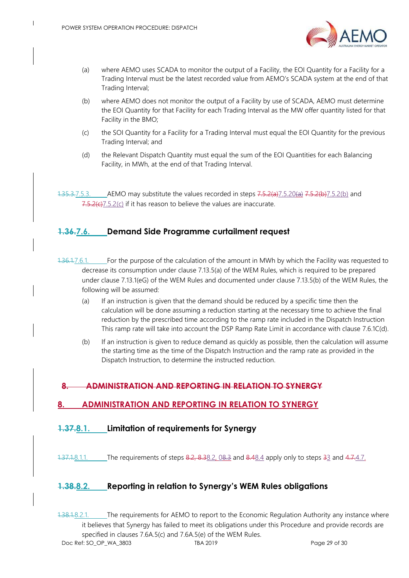

- (a) where AEMO uses SCADA to monitor the output of a Facility, the EOI Quantity for a Facility for a Trading Interval must be the latest recorded value from AEMO's SCADA system at the end of that Trading Interval;
- <span id="page-43-5"></span>(b) where AEMO does not monitor the output of a Facility by use of SCADA, AEMO must determine the EOI Quantity for that Facility for each Trading Interval as the MW offer quantity listed for that Facility in the BMO;
- <span id="page-43-6"></span>(c) the SOI Quantity for a Facility for a Trading Interval must equal the EOI Quantity for the previous Trading Interval; and
- (d) the Relevant Dispatch Quantity must equal the sum of the EOI Quantities for each Balancing Facility, in MWh, at the end of that Trading Interval.

 $1.35.37.5.3$ . AEMO may substitute the values recorded in steps  $7.5.2$ (a) $7.5.2$ (a) $7.5.2$ [\(b\)](#page-43-5) and  $7.5.2(c)$  $7.5.2(c)$  7.5.2(c) if it has reason to believe the values are inaccurate.

### <span id="page-43-0"></span>**1.36.7.6. Demand Side Programme curtailment request**

- 1.36.1.7.6.1. For the purpose of the calculation of the amount in MWh by which the Facility was requested to decrease its consumption under clause 7.13.5(a) of the WEM Rules, which is required to be prepared under clause 7.13.1(eG) of the WEM Rules and documented under clause 7.13.5(b) of the WEM Rules, the following will be assumed:
	- (a) If an instruction is given that the demand should be reduced by a specific time then the calculation will be done assuming a reduction starting at the necessary time to achieve the final reduction by the prescribed time according to the ramp rate included in the Dispatch Instruction This ramp rate will take into account the DSP Ramp Rate Limit in accordance with clause 7.6.1C(d).
	- (b) If an instruction is given to reduce demand as quickly as possible, then the calculation will assume the starting time as the time of the Dispatch Instruction and the ramp rate as provided in the Dispatch Instruction, to determine the instructed reduction.

#### **8. ADMINISTRATION AND REPORTING IN RELATION TO SYNERGY**

#### <span id="page-43-4"></span><span id="page-43-1"></span>**8. ADMINISTRATION AND REPORTING IN RELATION TO SYNERGY**

#### <span id="page-43-2"></span>**1.37.8.1. Limitation of requirements for Synergy**

 $1.37.1.8.1.1.$  The requirements of steps  $8.2, 8.38.2, 0.8.3$  $8.2, 8.38.2, 0.8.3$  $8.2, 8.38.2, 0.8.3$  and  $8.48.4$  $8.48.4$  apply only to steps  $3.3$  and  $4.7.4.7$ .

#### <span id="page-43-7"></span><span id="page-43-3"></span>**1.38.8.2. Reporting in relation to Synergy's WEM Rules obligations**

<span id="page-43-8"></span>Doc Ref: SO\_OP\_WA\_3803 TBA 2019 Page 29 of 30 1.38.1.8.2.1. The requirements for AEMO to report to the Economic Regulation Authority any instance where it believes that Synergy has failed to meet its obligations under this Procedure and provide records are specified in clauses 7.6A.5(c) and 7.6A.5(e) of the WEM Rules.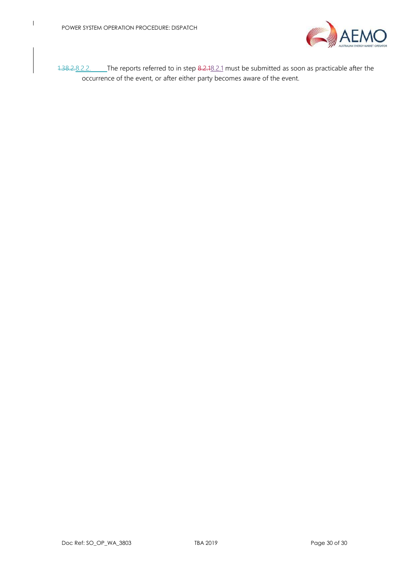<span id="page-44-1"></span><span id="page-44-0"></span>

1.38.2.8.2.2. The reports referred to in step 8.2.[18.2.1](#page-43-8) must be submitted as soon as practicable after the occurrence of the event, or after either party becomes aware of the event.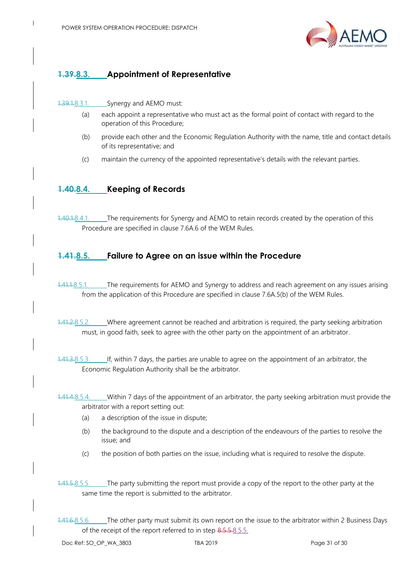

## **1.39.8.3. Appointment of Representative**

#### 1.39.1.8.3.1. Synergy and AEMO must:

- (a) each appoint a representative who must act as the formal point of contact with regard to the operation of this Procedure;
- (b) provide each other and the Economic Regulation Authority with the name, title and contact details of its representative; and
- (c) maintain the currency of the appointed representative's details with the relevant parties.

#### <span id="page-45-2"></span><span id="page-45-0"></span>**1.40.8.4. Keeping of Records**

1.40.1.8.4.1. The requirements for Synergy and AEMO to retain records created by the operation of this Procedure are specified in clause 7.6A.6 of the WEM Rules.

#### <span id="page-45-1"></span>**1.41.8.5. Failure to Agree on an issue within the Procedure**

- 1.41.1.8.5.1. The requirements for AEMO and Synergy to address and reach agreement on any issues arising from the application of this Procedure are specified in clause 7.6A.5(b) of the WEM Rules.
- 1.41.2.8.5.2. Where agreement cannot be reached and arbitration is required, the party seeking arbitration must, in good faith, seek to agree with the other party on the appointment of an arbitrator.
- 1.41.3.8.5.3. If, within 7 days, the parties are unable to agree on the appointment of an arbitrator, the Economic Regulation Authority shall be the arbitrator.
- 1.41.4.8.5.4. Within 7 days of the appointment of an arbitrator, the party seeking arbitration must provide the arbitrator with a report setting out:
	- (a) a description of the issue in dispute;
	- (b) the background to the dispute and a description of the endeavours of the parties to resolve the issue; and
	- (c) the position of both parties on the issue, including what is required to resolve the dispute.
- <span id="page-45-3"></span>1.41.5.8.5.5. The party submitting the report must provide a copy of the report to the other party at the same time the report is submitted to the arbitrator.
- 1.41.6.8.5.6. The other party must submit its own report on the issue to the arbitrator within 2 Business Days of the receipt of the report referred to in step 8.5.5[.8.5.5.](#page-45-3)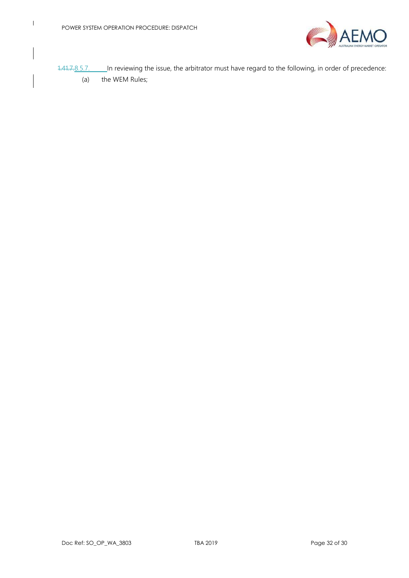

1.41.7.8.5.7. In reviewing the issue, the arbitrator must have regard to the following, in order of precedence:

(a) the WEM Rules;

 $\begin{array}{c} \hline \end{array}$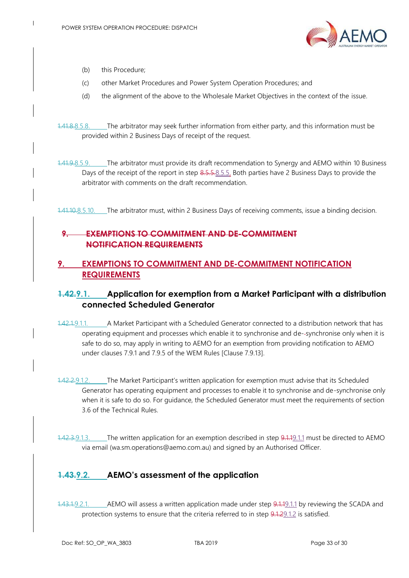

- (b) this Procedure;
- (c) other Market Procedures and Power System Operation Procedures; and
- (d) the alignment of the above to the Wholesale Market Objectives in the context of the issue.
- 1.41.8.8.5.8. The arbitrator may seek further information from either party, and this information must be provided within 2 Business Days of receipt of the request.
- 1.41.9.8.5.9. The arbitrator must provide its draft recommendation to Synergy and AEMO within 10 Business Days of the receipt of the report in step 8.5.5[.8.5.5.](#page-45-3) Both parties have 2 Business Days to provide the arbitrator with comments on the draft recommendation.

1.41.10.8.5.10. The arbitrator must, within 2 Business Days of receiving comments, issue a binding decision.

#### **9. EXEMPTIONS TO COMMITMENT AND DE-COMMITMENT NOTIFICATION REQUIREMENTS**

#### <span id="page-47-3"></span><span id="page-47-0"></span>**9. EXEMPTIONS TO COMMITMENT AND DE-COMMITMENT NOTIFICATION REQUIREMENTS**

### <span id="page-47-7"></span><span id="page-47-1"></span>**1.42.9.1. Application for exemption from a Market Participant with a distribution connected Scheduled Generator**

- <span id="page-47-4"></span>1.42.1.9.1.1. A Market Participant with a Scheduled Generator connected to a distribution network that has operating equipment and processes which enable it to synchronise and de--synchronise only when it is safe to do so, may apply in writing to AEMO for an exemption from providing notification to AEMO under clauses 7.9.1 and 7.9.5 of the WEM Rules [Clause 7.9.13].
- <span id="page-47-5"></span>1.42.2.9.1.2. The Market Participant's written application for exemption must advise that its Scheduled Generator has operating equipment and processes to enable it to synchronise and de-synchronise only when it is safe to do so. For guidance, the Scheduled Generator must meet the requirements of section 3.6 of the Technical Rules.
- 1.42.3.9.1.3. The written application for an exemption described in step 9.1.[19.1.1](#page-47-4) must be directed to AEMO via email (wa.sm.operations@aemo.com.au) and signed by an Authorised Officer.

### <span id="page-47-6"></span><span id="page-47-2"></span>**1.43.9.2. AEMO's assessment of the application**

1.43.1.9.2.1. AEMO will assess a written application made under step 9.1.[19.1.1](#page-47-4) by reviewing the SCADA and protection systems to ensure that the criteria referred to in step 9.1.[29.1.2](#page-47-5) is satisfied.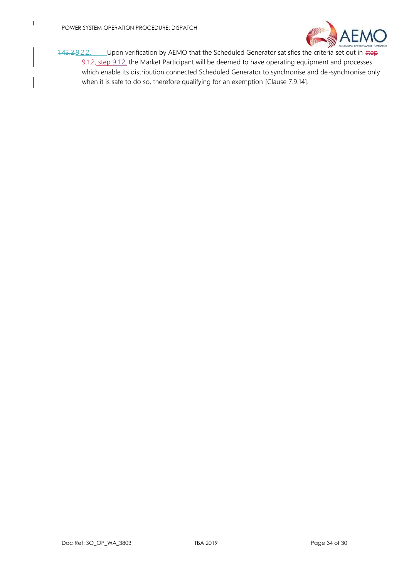<span id="page-48-1"></span>

<span id="page-48-0"></span>1.43.2.9.2.2. Upon verification by AEMO that the Scheduled Generator satisfies the criteria set out in step [9.1.2,](#page-47-5) step 9.1.2, the Market Participant will be deemed to have operating equipment and processes which enable its distribution connected Scheduled Generator to synchronise and de-synchronise only when it is safe to do so, therefore qualifying for an exemption [Clause 7.9.14].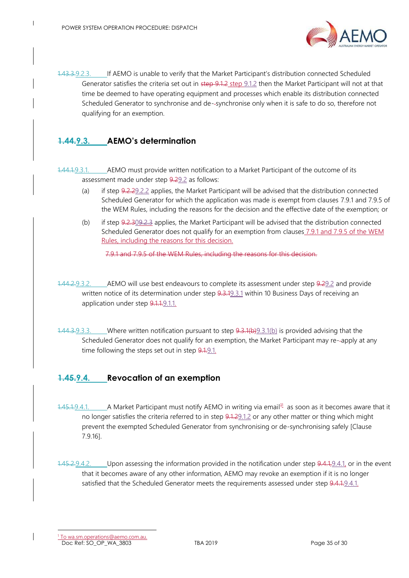

1.43.3.9.2.3. If AEMO is unable to verify that the Market Participant's distribution connected Scheduled Generator satisfies the criteria set out in step [9.1.2](#page-47-5) step 9.1.2 then the Market Participant will not at that time be deemed to have operating equipment and processes which enable its distribution connected Scheduled Generator to synchronise and de--synchronise only when it is safe to do so, therefore not qualifying for an exemption.

## <span id="page-49-0"></span>**1.44.9.3. AEMO's determination**

<span id="page-49-2"></span>1.44.1.9.3.1. AEMO must provide written notification to a Market Participant of the outcome of its assessment made under step 9.[29.2](#page-47-6) as follows:

- (a) if step 9.2.[29.2.2](#page-48-0) applies, the Market Participant will be advised that the distribution connected Scheduled Generator for which the application was made is exempt from clauses 7.9.1 and 7.9.5 of the WEM Rules, including the reasons for the decision and the effective date of the exemption; or
- <span id="page-49-3"></span>(b) if step 9.2.[309.2.3](#page-48-1) applies, the Market Participant will be advised that the distribution connected Scheduled Generator does not qualify for an exemption from clauses 7.9.1 and 7.9.5 of the WEM Rules, including the reasons for this decision.

7.9.1 and 7.9.5 of the WEM Rules, including the reasons for this decision.

- 1.44.2.9.3.2. AEMO will use best endeavours to complete its assessment under step 9.[29.2](#page-47-6) and provide written notice of its determination under step 9.3.[19.3.1](#page-49-2) within 10 Business Days of receiving an application under step 9.1.[1.9.1.1.](#page-47-4)
- 1.44.3.9.3.3. Where written notification pursuant to step 9.3.1(b[\)9.3.1](#page-49-2)[\(b\)](#page-49-3) is provided advising that the Scheduled Generator does not qualify for an exemption, the Market Participant may re--apply at any time following the steps set out in step 9.[1.9.1.](#page-47-7)

### <span id="page-49-1"></span>**1.45.9.4. Revocation of an exemption**

- <span id="page-49-4"></span>1.45.1.9.4.1. A Market Participant must notify AEMO in writing via email<sup>11</sup> as soon as it becomes aware that it no longer satisfies the criteria referred to in step 9.1.[29.1.2](#page-47-5) or any other matter or thing which might prevent the exempted Scheduled Generator from synchronising or de-synchronising safely [Clause 7.9.16].
- <span id="page-49-5"></span>1.45.2.9.4.2. Upon assessing the information provided in the notification under step 9.4.1, 9.4.1, or in the event that it becomes aware of any other information, AEMO may revoke an exemption if it is no longer satisfied that the Scheduled Generator meets the requirements assessed under step 9.4.[1.9.4.1.](#page-49-4)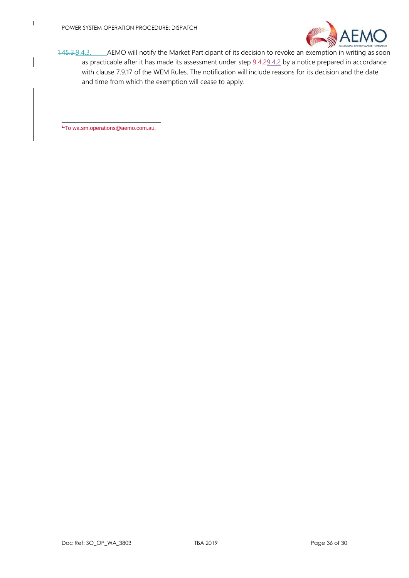

1.45.3.9.4.3. AEMO will notify the Market Participant of its decision to revoke an exemption in writing as soon as practicable after it has made its assessment under step 9.4.[29.4.2](#page-49-5) by a notice prepared in accordance with clause 7.9.17 of the WEM Rules. The notification will include reasons for its decision and the date and time from which the exemption will cease to apply.

<span id="page-50-0"></span><sup>+</sup>To wa.sm.operations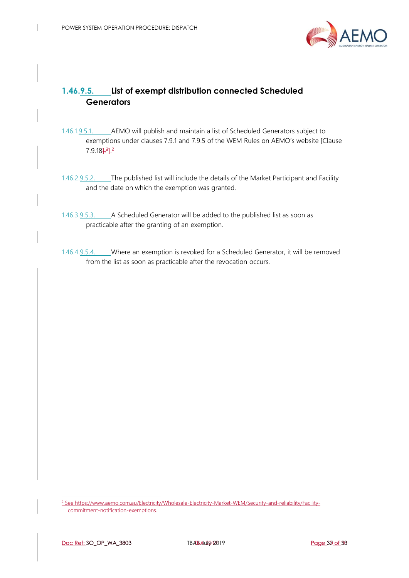

## **Generators**

- **T.46.9.5. List of exempt distribution connected Scheduled**<br> **Generators**<br> **Connected Scheduled**<br> **Connected Scheduled**<br> **Examplement under clauses 79.1 and 79.5 of the WEM Tokes on AFMO's website (Clause<br>
7.9 18/FL'<br>
<b>The** 1.46.1.9.5.1. AEMO will publish and maintain a list of Scheduled Generators subject to exemptions under clauses 7.9.1 and 7.9.5 of the WEM Rules on AEMO's website [Clause 7.9.18<sup>1.2</sup>].<sup>2</sup>
- 1.46.2.9.5.2. The published list will include the details of the Market Participant and Facility and the date on which the exemption was granted.
- 1.46.3.9.5.3. A Scheduled Generator will be added to the published list as soon as practicable after the granting of an exemption.
- 1.46.4.9.5.4. Where an exemption is revoked for a Scheduled Generator, it will be removed from the list as soon as practicable after the revocation occurs.

l

<sup>2</sup> See https://www.aemo.com.au/Electricity/Wholesale-Electricity-Market-WEM/Security-and-reliability/Facilitycommitment-notification-exemptions.